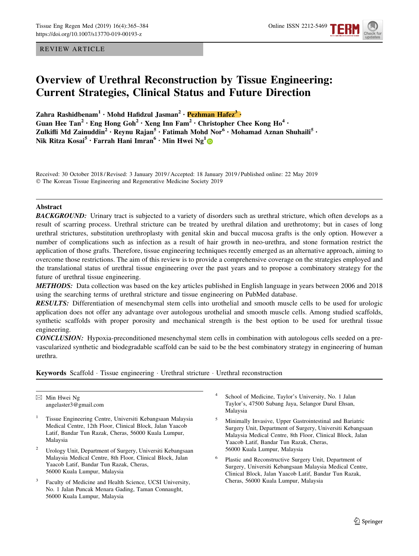REVIEW ARTICLE



# Overview of Urethral Reconstruction by Tissue Engineering: Current Strategies, Clinical Status and Future Direction

Zahra Rashidbenam<sup>1</sup> · Mohd Hafidzul Jasman<sup>2</sup> · Pezhman Hafez<sup>3</sup> · Guan Hee Tan<sup>2</sup> • Eng Hong Goh<sup>2</sup> • Xeng Inn Fam<sup>2</sup> • Christopher Chee Kong Ho<sup>4</sup> • Zulkifli Md Zainuddin<sup>2</sup> • Reynu Rajan<sup>5</sup> • Fatimah Mohd Nor<sup>6</sup> • Mohamad Aznan Shuhaili<sup>5</sup> • Nik Ritza Kosai<sup>5</sup> • Farrah Hani Imran<sup>6</sup> • Min Hwei Ng<sup>1</sup>

Received: 30 October 2018 / Revised: 3 January 2019 / Accepted: 18 January 2019 / Published online: 22 May 2019 © The Korean Tissue Engineering and Regenerative Medicine Society 2019

## Abstract

**BACKGROUND:** Urinary tract is subjected to a variety of disorders such as urethral stricture, which often develops as a result of scarring process. Urethral stricture can be treated by urethral dilation and urethrotomy; but in cases of long urethral strictures, substitution urethroplasty with genital skin and buccal mucosa grafts is the only option. However a number of complications such as infection as a result of hair growth in neo-urethra, and stone formation restrict the application of those grafts. Therefore, tissue engineering techniques recently emerged as an alternative approach, aiming to overcome those restrictions. The aim of this review is to provide a comprehensive coverage on the strategies employed and the translational status of urethral tissue engineering over the past years and to propose a combinatory strategy for the future of urethral tissue engineering.

METHODS: Data collection was based on the key articles published in English language in years between 2006 and 2018 using the searching terms of urethral stricture and tissue engineering on PubMed database.

RESULTS: Differentiation of mesenchymal stem cells into urothelial and smooth muscle cells to be used for urologic application does not offer any advantage over autologous urothelial and smooth muscle cells. Among studied scaffolds, synthetic scaffolds with proper porosity and mechanical strength is the best option to be used for urethral tissue engineering.

CONCLUSION: Hypoxia-preconditioned mesenchymal stem cells in combination with autologous cells seeded on a prevascularized synthetic and biodegradable scaffold can be said to be the best combinatory strategy in engineering of human urethra.

Keywords Scaffold · Tissue engineering · Urethral stricture · Urethral reconstruction

 $\boxtimes$  Min Hwei Ng angelaster3@gmail.com

- <sup>1</sup> Tissue Engineering Centre, Universiti Kebangsaan Malaysia Medical Centre, 12th Floor, Clinical Block, Jalan Yaacob Latif, Bandar Tun Razak, Cheras, 56000 Kuala Lumpur, Malaysia
- <sup>2</sup> Urology Unit, Department of Surgery, Universiti Kebangsaan Malaysia Medical Centre, 8th Floor, Clinical Block, Jalan Yaacob Latif, Bandar Tun Razak, Cheras, 56000 Kuala Lumpur, Malaysia
- Faculty of Medicine and Health Science, UCSI University, No. 1 Jalan Puncak Menara Gading, Taman Connaught, 56000 Kuala Lumpur, Malaysia
- School of Medicine, Taylor's University, No. 1 Jalan Taylor's, 47500 Subang Jaya, Selangor Darul Ehsan, Malaysia
- <sup>5</sup> Minimally Invasive, Upper Gastrointestinal and Bariatric Surgery Unit, Department of Surgery, Universiti Kebangsaan Malaysia Medical Centre, 8th Floor, Clinical Block, Jalan Yaacob Latif, Bandar Tun Razak, Cheras, 56000 Kuala Lumpur, Malaysia
- <sup>6</sup> Plastic and Reconstructive Surgery Unit, Department of Surgery, Universiti Kebangsaan Malaysia Medical Centre, Clinical Block, Jalan Yaacob Latif, Bandar Tun Razak, Cheras, 56000 Kuala Lumpur, Malaysia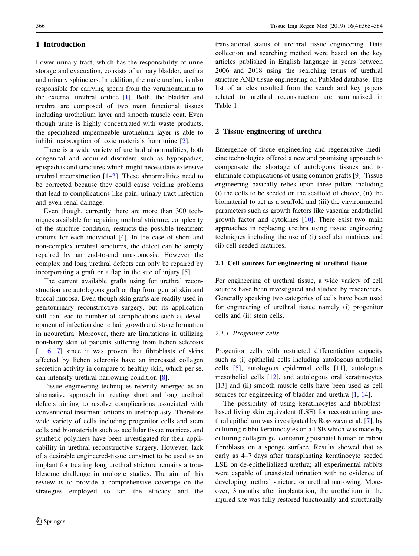# 1 Introduction

Lower urinary tract, which has the responsibility of urine storage and evacuation, consists of urinary bladder, urethra and urinary sphincters. In addition, the male urethra, is also responsible for carrying sperm from the verumontanum to the external urethral orifice [[1\]](#page-17-0). Both, the bladder and urethra are composed of two main functional tissues including urothelium layer and smooth muscle coat. Even though urine is highly concentrated with waste products, the specialized impermeable urothelium layer is able to inhibit reabsorption of toxic materials from urine [\[2](#page-17-0)].

There is a wide variety of urethral abnormalities, both congenital and acquired disorders such as hypospadias, epispadias and strictures which might necessitate extensive urethral reconstruction  $[1-3]$ . These abnormalities need to be corrected because they could cause voiding problems that lead to complications like pain, urinary tract infection and even renal damage.

Even though, currently there are more than 300 techniques available for repairing urethral stricture, complexity of the stricture condition, restricts the possible treatment options for each individual [[4\]](#page-17-0). In the case of short and non-complex urethral strictures, the defect can be simply repaired by an end-to-end anastomosis. However the complex and long urethral defects can only be repaired by incorporating a graft or a flap in the site of injury [\[5](#page-17-0)].

The current available grafts using for urethral reconstruction are autologous graft or flap from genital skin and buccal mucosa. Even though skin grafts are readily used in genitourinary reconstructive surgery, but its application still can lead to number of complications such as development of infection due to hair growth and stone formation in neourethra. Moreover, there are limitations in utilizing non-hairy skin of patients suffering from lichen sclerosis [\[1](#page-17-0), [6,](#page-17-0) [7\]](#page-17-0) since it was proven that fibroblasts of skins affected by lichen sclerosis have an increased collagen secretion activity in compare to healthy skin, which per se, can intensify urethral narrowing condition [\[8](#page-17-0)].

Tissue engineering techniques recently emerged as an alternative approach in treating short and long urethral defects aiming to resolve complications associated with conventional treatment options in urethroplasty. Therefore wide variety of cells including progenitor cells and stem cells and biomaterials such as acellular tissue matrices, and synthetic polymers have been investigated for their applicability in urethral reconstructive surgery. However, lack of a desirable engineered-tissue construct to be used as an implant for treating long urethral stricture remains a troublesome challenge in urologic studies. The aim of this review is to provide a comprehensive coverage on the strategies employed so far, the efficacy and the

translational status of urethral tissue engineering. Data collection and searching method were based on the key articles published in English language in years between 2006 and 2018 using the searching terms of urethral stricture AND tissue engineering on PubMed database. The list of articles resulted from the search and key papers related to urethral reconstruction are summarized in Table [1](#page-2-0).

## 2 Tissue engineering of urethra

Emergence of tissue engineering and regenerative medicine technologies offered a new and promising approach to compensate the shortage of autologous tissues and to eliminate complications of using common grafts [[9](#page-17-0)]. Tissue engineering basically relies upon three pillars including (i) the cells to be seeded on the scaffold of choice, (ii) the biomaterial to act as a scaffold and (iii) the environmental parameters such as growth factors like vascular endothelial growth factor and cytokines [[10](#page-17-0)]. There exist two main approaches in replacing urethra using tissue engineering techniques including the use of (i) acellular matrices and (ii) cell-seeded matrices.

## 2.1 Cell sources for engineering of urethral tissue

For engineering of urethral tissue, a wide variety of cell sources have been investigated and studied by researchers. Generally speaking two categories of cells have been used for engineering of urethral tissue namely (i) progenitor cells and (ii) stem cells.

## 2.1.1 Progenitor cells

Progenitor cells with restricted differentiation capacity such as (i) epithelial cells including autologous urothelial cells [[5\]](#page-17-0), autologous epidermal cells [[11\]](#page-17-0), autologous mesothelial cells [\[12](#page-17-0)], and autologous oral keratinocytes [\[13](#page-17-0)] and (ii) smooth muscle cells have been used as cell sources for engineering of bladder and urethra  $[1, 14]$  $[1, 14]$  $[1, 14]$  $[1, 14]$ .

The possibility of using keratinocytes and fibroblastbased living skin equivalent (LSE) for reconstructing urethral epithelium was investigated by Rogovaya et al. [\[7](#page-17-0)], by culturing rabbit keratinocytes on a LSE which was made by culturing collagen gel containing postnatal human or rabbit fibroblasts on a sponge surface. Results showed that as early as 4–7 days after transplanting keratinocyte seeded LSE on de-epithelialized urethra; all experimental rabbits were capable of unassisted urination with no evidence of developing urethral stricture or urethral narrowing. Moreover, 3 months after implantation, the urothelium in the injured site was fully restored functionally and structurally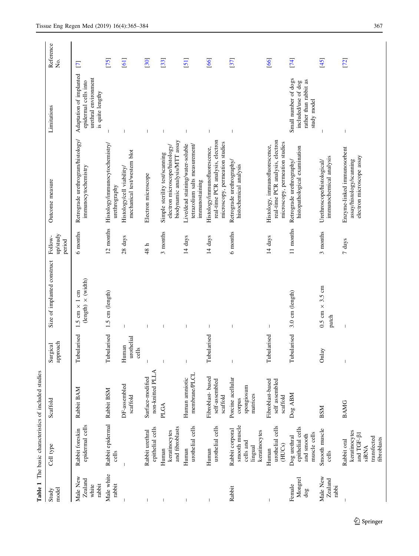<span id="page-2-0"></span>

|                                        |                                                                                                 | Table 1 The basic characteristics of included studies |                              |                                                                  |                               |                                                                                                      |                                                                                             |                          |
|----------------------------------------|-------------------------------------------------------------------------------------------------|-------------------------------------------------------|------------------------------|------------------------------------------------------------------|-------------------------------|------------------------------------------------------------------------------------------------------|---------------------------------------------------------------------------------------------|--------------------------|
| model<br>Study                         | Cell type                                                                                       | Scaffold                                              | approach<br>Surgical         | Size of implanted construct                                      | up/study<br>Follow-<br>period | Outcome measure                                                                                      | Limitations                                                                                 | Reference<br>Σó.         |
| Male New<br>Zealand<br>rabbit<br>white | epidermal cells<br>Rabbit foreskin                                                              | Rabbit BAM                                            | Tubularised                  | (length) $\times$ (width)<br>$1 \text{ cm}$<br>$1.5$ cm $\times$ | 6 months                      | Retrograde urethrogram/histology/<br>immunocytochemistry                                             | Adaptation of implanted<br>urethral environment<br>epidermal cells into<br>is quite lengthy | $\overline{\phantom{0}}$ |
| Male white<br>rabbit                   | Rabbit epidermal<br>cells                                                                       | Rabbit BSM                                            | Tubularised                  | 1.5 cm (length)                                                  | $12$ months                   | Histology/immunocytochemistry/<br>urethrography                                                      | $\overline{\phantom{a}}$                                                                    | [75]                     |
| J                                      |                                                                                                 | DF-assembled<br>scaffold                              | urothelial<br>Human<br>cells | $\overline{\phantom{a}}$                                         | 28 days                       | mechanical test/western blot<br>Histology/cell viability/                                            |                                                                                             | $\overline{[61]}$        |
| -1                                     | epithelial cells<br>Rabbit urethral                                                             | non-knitted PLLA<br>Surface-modified                  | $\overline{1}$               | I                                                                | 48h                           | Electron microscope                                                                                  |                                                                                             | [30]                     |
| -1                                     | and fibroblasts<br>keratinocytes<br>Human                                                       | PLGA                                                  | $\overline{\phantom{a}}$     | ı                                                                | 3 months                      | biodynamic analysis/MTT assay<br>electron microscope/histology/<br>Simple sterility test/scanning    |                                                                                             | [33]                     |
|                                        | urothelial cells<br>Human                                                                       | membrane/PLCL<br>Human amniotic                       |                              |                                                                  | 14 days                       | Live/dead staining/water-soluble<br>tetrazolium salts measurement/<br>immunostaining                 |                                                                                             | $\overline{51}$          |
| $\overline{\phantom{a}}$               | urothelial cells<br>Human                                                                       | Fibroblast-based<br>self-assembled<br>scaffold        | Tubularised                  | -1                                                               | 14 days                       | real-time PCR analysis, electron<br>microscopy, permeation studies<br>Histology/immunofluorescence,  |                                                                                             | [66]                     |
| Rabbit                                 | smooth muscle<br>Rabbit corporal<br>keratinocytes<br>cells and<br>lingual                       | Porcine acellular<br>spongiosum<br>matrices<br>corpus | $\overline{1}$               | $\overline{\phantom{a}}$                                         | 6 months                      | Retrograde urethrography/<br>histochemical analysis                                                  | $\overline{\phantom{a}}$                                                                    | [37]                     |
| $\begin{array}{c} \end{array}$         | urothelial cells<br>(HUCs)<br>Human                                                             | Fibroblast-based<br>self assembled<br>scaffold        | bularised<br>Ē               | $\begin{array}{c} \end{array}$                                   | 14 days                       | real-time PCR analysis, electron<br>microscopy, permeation studies<br>Histology, immunofluorescence, |                                                                                             | [66]                     |
| Mongrel<br>Female<br>$\rm{do}g$        | epithelial cells<br>muscle cells<br>and smooth<br>Dog urethral                                  | Dog ABM                                               | Tubularised                  | 3.0 cm (length)                                                  | 11 months                     | histopathological examination<br>Retrograde urethrography/                                           | Small number of dogs<br>rather than rabbit as<br>included/use of dog<br>study model         | [74]                     |
| Male New<br>Zealand<br>rabbi           | Smooth muscle<br>cells                                                                          | <b>BSM</b>                                            | Onlay                        | $0.5$ cm $\times$ 3.5 cm<br>patch                                | 3 months                      | immunochemical analysis<br>Urethroscope/histological/                                                |                                                                                             | [45]                     |
|                                        | keratinocytes<br>and TGF- $\beta1$<br>transfected<br>fibroblasts<br>Rabbit oral<br><b>SiRNA</b> | <b>BAMG</b>                                           | $\overline{\phantom{a}}$     |                                                                  | $7 \ \mathrm{days}$           | Enzyme-linked immunosorbent<br>electron microscope assay<br>assay/histology/scanning                 |                                                                                             | [72]                     |

 $2$  Springer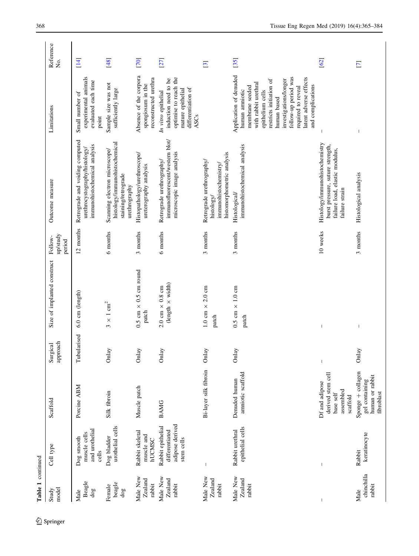| Table 1 continued              |                                                                      |                                                                           |                                |                                                                     |                               |                                                                                                                        |                                                                                                                                                                                                                                                                         |                          |
|--------------------------------|----------------------------------------------------------------------|---------------------------------------------------------------------------|--------------------------------|---------------------------------------------------------------------|-------------------------------|------------------------------------------------------------------------------------------------------------------------|-------------------------------------------------------------------------------------------------------------------------------------------------------------------------------------------------------------------------------------------------------------------------|--------------------------|
| model<br>Study                 | Cell type                                                            | Scaffold                                                                  | approach<br>Surgical           | Size of implanted construct                                         | up/study<br>Follow-<br>period | Outcome measure                                                                                                        | Limitations                                                                                                                                                                                                                                                             | Reference<br>Χo.         |
| Beagle<br>$\rm{dog}$<br>Male   | and urothelial<br>muscle cells<br>Dog smooth<br>cells                | Porcine ABM                                                               | Tubularised                    | 6.0 cm (length)                                                     | 12 months                     | Retrograde and voiding computed<br>immunohistochemical analysis<br>urethrocystography/histology/                       | experimental animals<br>evaluated each time<br>Small number of<br>point                                                                                                                                                                                                 | $\overline{14}$          |
| beagle<br>Female<br>$\rm{do}g$ | urothelial cells<br>Dog bladder                                      | Silk fibroin                                                              | Onlay                          | $\times$ 1 $\rm cm^2$<br>$\epsilon$                                 | 6 months                      | histology/immunohistochemical<br>Scanning electron microscope/<br>staining/retrograde<br>urethrography                 | Sample size was not<br>sufficiently large                                                                                                                                                                                                                               | [48]                     |
| Male New<br>Zealand<br>rabbit  | Rabbit skeletal<br>muscle and<br>hUCMSC                              | Muscle patch                                                              | Onlay                          | 0.5 cm $\times$ 0.5 cm round<br>patch                               | 3 months                      | Histopathology/urethroscope/<br>ureterography analysis                                                                 | Absence of the corpora<br>reconstructed urethra<br>spongiosum in the                                                                                                                                                                                                    | [70]                     |
| Male New<br>Zealand<br>rabbit  | adipose derived<br>Rabbit epithelial<br>differentiated<br>stem cells | <b>BAMG</b>                                                               | Onlay                          | (length $\times$ width)<br>$2.0~\mathrm{cm}~\times~0.8~\mathrm{cm}$ | 6 months                      | immunofluorescent/western blot/<br>microscopic image analysis<br>Retrograde urethrography/                             | optimise to reach the<br>induction need to be<br>differentiation of<br>mature epithelial<br>In vitro epithelial<br>ASCs                                                                                                                                                 | [27]                     |
| Male New<br>Zealand<br>rabbit  | I                                                                    | Bi-layer silk fibroin                                                     | Onlay                          | 1.0 cm $\times$ 2.0 cm<br>patch                                     | 3 months                      | histomorphometric analysis<br>Retrograde urethrography/<br>immunohistochemistry/<br>histology/                         |                                                                                                                                                                                                                                                                         | $\overline{\mathcal{E}}$ |
| Male New<br>Zealand<br>rabbit  | epithelial cells<br>Rabbit urethral                                  | amniotic scaffold<br>Denuded human                                        | Onlay                          | $0.5$ cm $\times$ 1.0 cm<br>patch                                   | 3 months                      | immunohistochemical analysis<br>Histological                                                                           | Application of denuded<br>follow-up period was<br>latent adverse effects<br>investigations/longer<br>restricts initiation of<br>with rabbit urethral<br>and complications<br>membrane seeded<br>required to reveal<br>human amniotic<br>epithelium cells<br>human based | [35]                     |
|                                | $\mathsf I$                                                          | derived stem cell<br>Df and adipose<br>assembled<br>base self<br>scaffold | $\begin{array}{c} \end{array}$ | $\overline{\phantom{a}}$                                            | 10 weeks                      | Histology/immunohistochemistry<br>burst pressure, suture strength,<br>failure load, elastic modulus,<br>failure strain |                                                                                                                                                                                                                                                                         | [62]                     |
| chinchilla<br>rabbit<br>Male   | keratinocyte<br>Rabbit                                               | Sponge + collagen<br>human or rabbit<br>gel containing<br>fibroblast      | Onlay                          |                                                                     | 3 months                      | Histological analysis                                                                                                  |                                                                                                                                                                                                                                                                         | $\overline{\mathbf{C}}$  |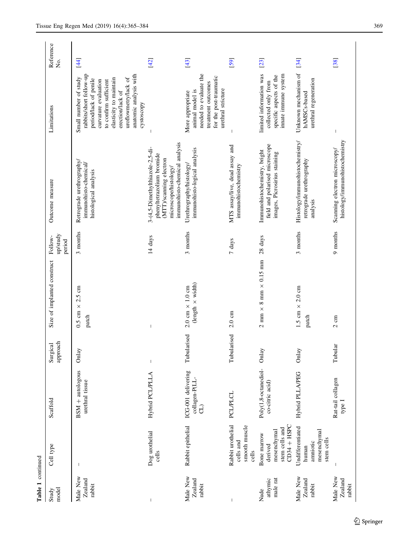| Table 1 continued             |                                                                          |                                            |                      |                                                                   |                               |                                                                                                                                                   |                                                                                                                                                                                                                                          |                  |
|-------------------------------|--------------------------------------------------------------------------|--------------------------------------------|----------------------|-------------------------------------------------------------------|-------------------------------|---------------------------------------------------------------------------------------------------------------------------------------------------|------------------------------------------------------------------------------------------------------------------------------------------------------------------------------------------------------------------------------------------|------------------|
| model<br>Study                | Cell type                                                                | Scaffold                                   | approach<br>Surgical | Size of implanted construct                                       | up/study<br>Follow-<br>period | Outcome measure                                                                                                                                   | Limitations                                                                                                                                                                                                                              | Reference<br>Σó, |
| Male New<br>Zealand<br>rabbit | T                                                                        | $BSM + autologous$<br>urethral tissue      | Onlay                | 0.5 cm $\times$ 2.5 cm<br>patch                                   | 3 months                      | Retrograde urethrography/<br>immunohisto-chemical/<br>histological analysis                                                                       | rabbits/short follow-up<br>anatomic analysis with<br>Small number of study<br>uroflowmetry/lack of<br>elasticity to maintain<br>period/lack of penile<br>curvature evaluation<br>to confirm sufficient<br>erection/lack of<br>cystoscopy | $\left[4\right]$ |
|                               | Dog urothelial<br>cells                                                  | Hybrid PCL/PLLA                            | $\mathsf I$          |                                                                   | 14 days                       | immunohisto-chemical analysis<br>3-(4,5-Dimethylthiazole-2,5-di-<br>phenyltetrazolium bromide<br>(MTT)/scanning electron<br>microscope/histology/ |                                                                                                                                                                                                                                          | [42]             |
| Male New<br>Zealand<br>rabbit | Rabbit epithelial                                                        | ICG-001 delivering<br>collagen-P(LL-<br>G) | Tubularised          | (length $\times$ width)<br>$2.0 \text{ cm} \times 1.0 \text{ cm}$ | 3 months                      | immunohisto-logical analysis<br>Urethrography/histology/                                                                                          | needed to evaluate the<br>for the post-traumatic<br>treatment outcomes<br>urethral stricture<br>animal model is<br>More appropriate                                                                                                      | $[43]$           |
|                               | Rabbit urothelial<br>smooth muscle<br>cells and<br>cells                 | <b>PCL/PLCL</b>                            | Tubularised          | $2.0 \text{ cm}$                                                  | 7 days                        | MTS assay/live, dead assay and<br>immunohistochemistry                                                                                            |                                                                                                                                                                                                                                          | [59]             |
| male rat<br>athymic<br>Nude   | $CD34 + HSPC$<br>stem cells and<br>mesenchymal<br>Bone marrow<br>derived | Poly(1,8-octanediol-<br>co-citric acid)    | Onlay                | $2 \text{ mm} \times 8 \text{ mm} \times 0.15 \text{ mm}$         | 28 days                       | field and polarised microscope<br>Immunohistochemistry, bright<br>images, Picrosirius staining                                                    | innate immune system<br>limited information was<br>specific aspects of the<br>collected only from                                                                                                                                        | [23]             |
| Male New<br>Zealand<br>rabbit | Undifferentiated<br>mesenchymal<br>stem cells<br>amniotic<br>human       | Hybrid PLLA/PEG                            | Onlay                | 1.5 cm $\times$ 2.0 cm<br>patch                                   | 3 months                      | Histology/immunohistochemistry/<br>retrograde urethrography<br>analysis                                                                           | Unknown mechanism of<br>urethral regeneration<br>hAMSCs-based                                                                                                                                                                            | [34]             |
| Male New<br>Zealand<br>rabbit |                                                                          | Rat-tail collagen<br>type 1                | Tubular              | $2 \text{ cm}$                                                    | 9 months                      | histology/immunohistochemistry<br>Scanning electron microscopy/                                                                                   |                                                                                                                                                                                                                                          | [38]             |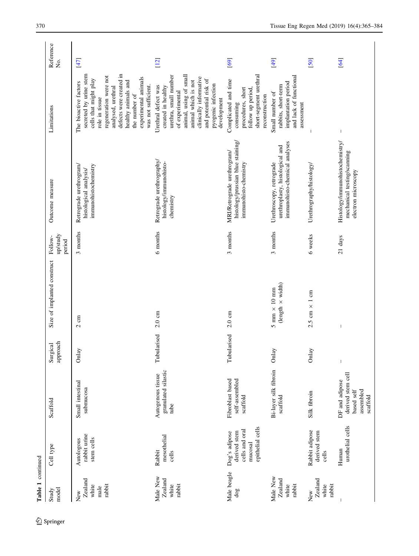| Table 1 continued                         |                                                                                |                                                                            |                      |                                                  |                               |                                                                                              |                                                                                                                                                                                                                                                             |                  |
|-------------------------------------------|--------------------------------------------------------------------------------|----------------------------------------------------------------------------|----------------------|--------------------------------------------------|-------------------------------|----------------------------------------------------------------------------------------------|-------------------------------------------------------------------------------------------------------------------------------------------------------------------------------------------------------------------------------------------------------------|------------------|
| model<br>Study                            | Cell type                                                                      | Scaffold                                                                   | Surgical<br>approach | Size of implanted construct                      | up/study<br>Follow-<br>period | Outcome measure                                                                              | Limitations                                                                                                                                                                                                                                                 | Reference<br>Χo. |
| Zealand<br>white<br>rabbit<br>male<br>New | rabbit urine<br>stem cells<br>Autologous                                       | Small intestinal<br>submucosa                                              | Onlay                | $2 \text{ cm}$                                   | 3 months                      | Retrograde urethrogram/<br>immunohistochemistry<br>histological analysis/                    | defects were created in<br>secreted by urine stem<br>regeneration were not<br>experimental animals<br>cells that might play<br>healthy animals and<br>The bioactive factors<br>was not sufficient.<br>analysed, urethral<br>the number of<br>role in tissue | [47]             |
| Male New<br>Zealand<br>rabbit<br>white    | mesothelial<br>Rabbit<br>cells                                                 | granulated silastic<br>Autogenous tissue<br>tube                           | Tubularised          | $2.0 \text{ cm}$                                 | 6 months                      | Retrograde urethrography/<br>histology/immunohisto-<br>chemistry                             | animal, using of small<br>urethra, small number<br>clinically informative<br>and potential risk of<br>animal which is not<br>pyogenic infection<br>Urethral defect was<br>created in healthy<br>of experimental<br>development                              | [12]             |
| Male beagle<br>$\rm{do}$                  | epithelial cells<br>cells and oral<br>derived stem<br>Dog's adipose<br>mucosal | self-assembled<br>Fibroblast based<br>scaffold                             | Tubularised          | $2.0 \text{ cm}$                                 | 3 months                      | histology/prussian blue staining/<br>MRI/Retrograde urethrogram/<br>immunohisto-chemistry    | short-segment urethral<br>Complicated and time<br>procedures, short<br>follow up period.<br>reconstruction<br>consuming                                                                                                                                     | [69]             |
| Male New<br>Zealand<br>white<br>rabbit    |                                                                                | Bi-layer silk fibroin<br>scaffold                                          | Onlay                | $(length \times width)$<br>$5$ mm $\times$ 10 mm | 3 months                      | immunohisto-chemical analyses<br>urethroplasty, histological and<br>Urethroscopy, retrograde | and lack of functional<br>implantation period<br>rabbits, short-term<br>Small number of<br>assessment                                                                                                                                                       | [49]             |
| Zealand<br>rabbit<br>white<br>New         | Rabbit adipose<br>derived stem<br>cells                                        | Silk fibroin                                                               | Onlay                | $2.5~\mathrm{cm} \times 1~\mathrm{cm}$           | 6 weeks                       | Urethrography/histology/                                                                     |                                                                                                                                                                                                                                                             | [50]             |
|                                           | urothelial cells<br>Human                                                      | derived stem cell<br>DF and adipose<br>based self<br>assembled<br>scaffold | $\,$ $\,$            |                                                  | 21 days                       | Histology/immunohistochemistry/<br>mechanical testing/scanning<br>electron microscopy        | $\overline{\phantom{a}}$                                                                                                                                                                                                                                    | $\overline{64}$  |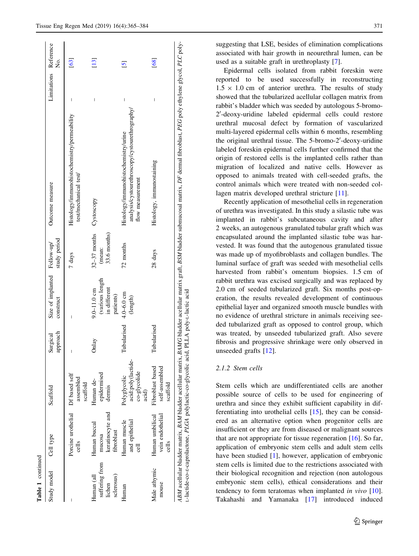| Study model                                          | Cell type                                                                                                                                             | Scaffold                                                    | approach<br>Surgical | Size of implanted Follow-up/<br>construct                       | study period                                      | Outcome measure                                                                                                               | Limitations Reference | ż.             |
|------------------------------------------------------|-------------------------------------------------------------------------------------------------------------------------------------------------------|-------------------------------------------------------------|----------------------|-----------------------------------------------------------------|---------------------------------------------------|-------------------------------------------------------------------------------------------------------------------------------|-----------------------|----------------|
|                                                      | Porcine urothelial Df based self<br>cells                                                                                                             | assembled<br>scaffold                                       | I                    | I                                                               | 7 days                                            | Histology/immunohistochemistry/permeability<br>test/mechanical test/                                                          | I                     | [63]           |
| suffering from<br>sclerosus)<br>Human (all<br>lichen | keratinocyte and<br>Human buccal<br>fibroblast<br>mucosa                                                                                              | epidermised<br>Human de-<br>dermis                          | Onlay                | (various length<br>in different<br>$9.0 - 11.0$ cm<br>patients) | 32-37 months Cystoscopy<br>33.6 months)<br>(mean: |                                                                                                                               | I                     | [13]           |
| Human                                                | Human muscle<br>and epithelial<br>ट्टा                                                                                                                | acid:poly(lactide-<br>co-glycolide<br>Polyglycolic<br>acid) | Tubularised          | $4.0 - 6.0$ cm<br>(length)                                      | 72 months                                         | analysis/cystourethroscopy/cystourethrography/<br>Histology/immunohistochemistry/urine<br>flow measurement                    | Ī                     | $\overline{5}$ |
| Male athymic<br>mouse                                | Human umbilical<br>vein endothelial<br>cells                                                                                                          | Fibroblast based<br>self-assembled<br>scaffold              | Tubularised          |                                                                 | 28 days                                           | Histology, immunostaining                                                                                                     |                       | [68]           |
|                                                      | t-lactide-co-s-caprolactone, PLGA polylactic-co-glycolic acid, PLLA poly-t-lactic acid<br>ABM acellular bladder matrix, BAM bladder acellular matrix, |                                                             |                      |                                                                 |                                                   | BAMG bladder acellular matrix graft, BSM bladder submucosal matrix, DF dermal fibroblast, PEG poly ethylene glycol, PLC poly- |                       |                |

Table 1 continued

continued

suggesting that LSE, besides of elimination complications associated with hair growth in neourethral lumen, can be used as a suitable graft in urethroplasty [\[7](#page-17-0)].

Epidermal cells isolated from rabbit foreskin were reported to be used successfully in reconstructing  $1.5 \times 1.0$  cm of anterior urethra. The results of study showed that the tubularized acellular collagen matrix from rabbit's bladder which was seeded by autologous 5-bromo-2'-deoxy-uridine labeled epidermal cells could restore urethral mucosal defect by formation of vascularized multi-layered epidermal cells within 6 months, resembling the original urethral tissue. The 5-bromo-2'-deoxy-uridine labeled foreskin epidermal cells further confirmed that the origin of restored cells is the implanted cells rather than migration of localized and native cells. However as opposed to animals treated with cell-seeded grafts, the control animals which were treated with non-seeded col-lagen matrix developed urethral stricture [\[11](#page-17-0)].

Recently application of mesothelial cells in regeneration of urethra was investigated. In this study a silastic tube was implanted in rabbit's subcutaneous cavity and after 2 weeks, an autogenous granulated tubular graft which was encapsulated around the implanted silastic tube was harvested. It was found that the autogenous granulated tissue was made up of myofibroblasts and collagen bundles. The luminal surface of graft was seeded with mesothelial cells harvested from rabbit's omentum biopsies. 1.5 cm of rabbit urethra was excised surgically and was replaced by 2.0 cm of seeded tubularized graft. Six months post-operation, the results revealed development of continuous epithelial layer and organized smooth muscle bundles with no evidence of urethral stricture in animals receiving seeded tubularized graft as opposed to control group, which was treated, by unseeded tubularized graft. Also severe fibrosis and progressive shrinkage were only observed in unseeded grafts [\[12](#page-17-0)].

## 2.1.2 Stem cells

Stem cells which are undifferentiated cells are another possible source of cells to be used for engineering of urethra and since they exhibit sufficient capability in differentiating into urothelial cells [[15\]](#page-17-0), they can be considered as an alternative option when progenitor cells are insufficient or they are from diseased or malignant sources that are not appropriate for tissue regeneration [\[16](#page-17-0)]. So far, application of embryonic stem cells and adult stem cells have been studied [\[1](#page-17-0)], however, application of embryonic stem cells is limited due to the restrictions associated with their biological recognition and rejection (non autologous embryonic stem cells), ethical considerations and their tendency to form teratomas when implanted *in vivo* [\[10](#page-17-0)]. Takahashi and Yamanaka [\[17](#page-17-0)] introduced induced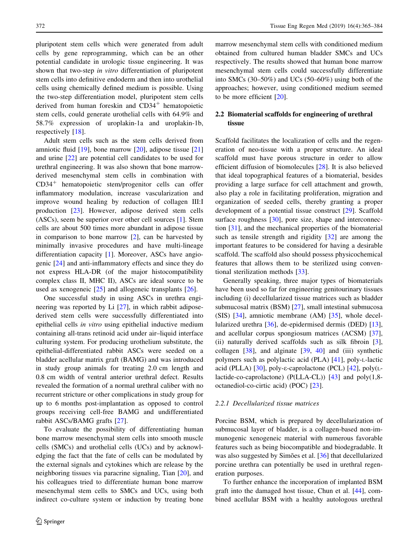pluripotent stem cells which were generated from adult cells by gene reprogramming, which can be an other potential candidate in urologic tissue engineering. It was shown that two-step in vitro differentiation of pluripotent stem cells into definitive endoderm and then into urothelial cells using chemically defined medium is possible. Using the two-step differentiation model, pluripotent stem cells derived from human foreskin and  $CD34<sup>+</sup>$  hematopoietic stem cells, could generate urothelial cells with 64.9% and 58.7% expression of uroplakin-1a and uroplakin-1b, respectively [\[18](#page-17-0)].

Adult stem cells such as the stem cells derived from amniotic fluid [\[19](#page-17-0)], bone marrow [[20\]](#page-17-0), adipose tissue [[21\]](#page-17-0) and urine [\[22](#page-17-0)] are potential cell candidates to be used for urethral engineering. It was also shown that bone marrowderived mesenchymal stem cells in combination with CD34? hematopoietic stem/progenitor cells can offer inflammatory modulation, increase vascularization and improve wound healing by reduction of collagen III:I production [\[23](#page-17-0)]. However, adipose derived stem cells (ASCs), seem be superior over other cell sources [[1\]](#page-17-0). Stem cells are about 500 times more abundant in adipose tissue in comparison to bone marrow [\[2](#page-17-0)], can be harvested by minimally invasive procedures and have multi-lineage differentiation capacity [\[1](#page-17-0)]. Moreover, ASCs have angiogenic [\[24](#page-17-0)] and anti-inflammatory effects and since they do not express HLA-DR (of the major histocompatibility complex class II, MHC II), ASCs are ideal source to be used as xenogeneic [[25\]](#page-17-0) and allogeneic transplants [[26\]](#page-17-0).

One successful study in using ASCs in urethra engineering was reported by Li [[27\]](#page-17-0), in which rabbit adiposederived stem cells were successfully differentiated into epithelial cells in vitro using epithelial inductive medium containing all-trans retinoid acid under air–liquid interface culturing system. For producing urothelium substitute, the epithelial-differentiated rabbit ASCs were seeded on a bladder acellular matrix graft (BAMG) and was introduced in study group animals for treating 2.0 cm length and 0.8 cm width of ventral anterior urethral defect. Results revealed the formation of a normal urethral caliber with no recurrent stricture or other complications in study group for up to 6 months post-implantation as opposed to control groups receiving cell-free BAMG and undifferentiated rabbit ASCs/BAMG grafts [\[27](#page-17-0)].

To evaluate the possibility of differentiating human bone marrow mesenchymal stem cells into smooth muscle cells (SMCs) and urothelial cells (UCs) and by acknowledging the fact that the fate of cells can be modulated by the external signals and cytokines which are release by the neighboring tissues via paracrine signaling, Tian [[20\]](#page-17-0), and his colleagues tried to differentiate human bone marrow mesenchymal stem cells to SMCs and UCs, using both indirect co-culture system or induction by treating bone marrow mesenchymal stem cells with conditioned medium obtained from cultured human bladder SMCs and UCs respectively. The results showed that human bone marrow mesenchymal stem cells could successfully differentiate into SMCs (30–50%) and UCs (50–60%) using both of the approaches; however, using conditioned medium seemed to be more efficient [\[20](#page-17-0)].

# 2.2 Biomaterial scaffolds for engineering of urethral tissue

Scaffold facilitates the localization of cells and the regeneration of neo-tissue with a proper structure. An ideal scaffold must have porous structure in order to allow efficient diffusion of biomolecules [[28\]](#page-17-0). It is also believed that ideal topographical features of a biomaterial, besides providing a large surface for cell attachment and growth, also play a role in facilitating proliferation, migration and organization of seeded cells, thereby granting a proper development of a potential tissue construct [[29\]](#page-17-0). Scaffold surface roughness [\[30](#page-17-0)], pore size, shape and interconnection [\[31](#page-17-0)], and the mechanical properties of the biomaterial such as tensile strength and rigidity [[32\]](#page-17-0) are among the important features to be considered for having a desirable scaffold. The scaffold also should possess physicochemical features that allows them to be sterilized using conventional sterilization methods [[33\]](#page-17-0).

Generally speaking, three major types of biomaterials have been used so far for engineering genitourinary tissues including (i) decellularized tissue matrices such as bladder submucosal matrix (BSM) [\[27](#page-17-0)], small intestinal submucosa (SIS) [[34\]](#page-17-0), amniotic membrane (AM) [[35\]](#page-17-0), whole decellularized urethra [[36\]](#page-17-0), de-epidermised dermis (DED) [\[13](#page-17-0)], and acellular corpus spongiosum matrices (ACSM) [\[37](#page-17-0)], (ii) naturally derived scaffolds such as silk fibroin [\[3](#page-17-0)], collagen [[38\]](#page-18-0), and alginate [[39,](#page-18-0) [40\]](#page-18-0) and (iii) synthetic polymers such as polylactic acid (PLA) [[41\]](#page-18-0), poly-L-lactic acid (PLLA) [[30\]](#page-17-0), poly- $\varepsilon$ -caprolactone (PCL) [[42\]](#page-18-0), poly( $L$ lactide-co-caprolactone) (P(LLA-CL)) [\[43](#page-18-0)] and poly(1,8 octanediol-co-cirtic acid) (POC) [\[23](#page-17-0)].

#### 2.2.1 Decellularized tissue matrices

Porcine BSM, which is prepared by decellularization of submucosal layer of bladder, is a collagen-based non-immunogenic xenogeneic material with numerous favorable features such as being biocompatible and biodegradable. It was also suggested by Simões et al. [[36](#page-17-0)] that decellularized porcine urethra can potentially be used in urethral regeneration purposes.

To further enhance the incorporation of implanted BSM graft into the damaged host tissue, Chun et al. [\[44](#page-18-0)], combined acellular BSM with a healthy autologous urethral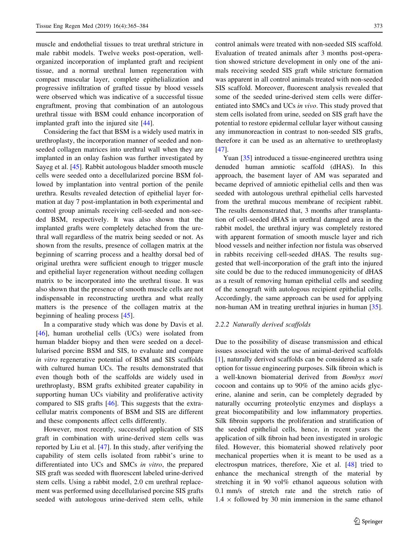muscle and endothelial tissues to treat urethral stricture in male rabbit models. Twelve weeks post-operation, wellorganized incorporation of implanted graft and recipient tissue, and a normal urethral lumen regeneration with compact muscular layer, complete epithelialization and progressive infiltration of grafted tissue by blood vessels were observed which was indicative of a successful tissue engraftment, proving that combination of an autologous urethral tissue with BSM could enhance incorporation of implanted graft into the injured site [[44\]](#page-18-0).

Considering the fact that BSM is a widely used matrix in urethroplasty, the incorporation manner of seeded and nonseeded collagen matrices into urethral wall when they are implanted in an onlay fashion was further investigated by Sayeg et al. [[45\]](#page-18-0). Rabbit autologous bladder smooth muscle cells were seeded onto a decellularized porcine BSM followed by implantation into ventral portion of the penile urethra. Results revealed detection of epithelial layer formation at day 7 post-implantation in both experimental and control group animals receiving cell-seeded and non-seeded BSM, respectively. It was also shown that the implanted grafts were completely detached from the urethral wall regardless of the matrix being seeded or not. As shown from the results, presence of collagen matrix at the beginning of scarring process and a healthy dorsal bed of original urethra were sufficient enough to trigger muscle and epithelial layer regeneration without needing collagen matrix to be incorporated into the urethral tissue. It was also shown that the presence of smooth muscle cells are not indispensable in reconstructing urethra and what really matters is the presence of the collagen matrix at the beginning of healing process [\[45](#page-18-0)].

In a comparative study which was done by Davis et al. [\[46](#page-18-0)], human urothelial cells (UCs) were isolated from human bladder biopsy and then were seeded on a decellularised porcine BSM and SIS, to evaluate and compare in vitro regenerative potential of BSM and SIS scaffolds with cultured human UCs. The results demonstrated that even though both of the scaffolds are widely used in urethroplasty, BSM grafts exhibited greater capability in supporting human UCs viability and proliferative activity compared to SIS grafts [\[46](#page-18-0)]. This suggests that the extracellular matrix components of BSM and SIS are different and these components affect cells differently.

However, most recently, successful application of SIS graft in combination with urine-derived stem cells was reported by Liu et al. [\[47\]](#page-18-0). In this study, after verifying the capability of stem cells isolated from rabbit's urine to differentiated into UCs and SMCs in vitro, the prepared SIS graft was seeded with fluorescent labeled urine-derived stem cells. Using a rabbit model, 2.0 cm urethral replacement was performed using decellularised porcine SIS grafts seeded with autologous urine-derived stem cells, while control animals were treated with non-seeded SIS scaffold. Evaluation of treated animals after 3 months post-operation showed stricture development in only one of the animals receiving seeded SIS graft while stricture formation was apparent in all control animals treated with non-seeded SIS scaffold. Moreover, fluorescent analysis revealed that some of the seeded urine-derived stem cells were differentiated into SMCs and UCs in vivo. This study proved that stem cells isolated from urine, seeded on SIS graft have the potential to restore epidermal cellular layer without causing any immunoreaction in contrast to non-seeded SIS grafts, therefore it can be used as an alternative to urethroplasty [\[47](#page-18-0)].

Yuan [\[35](#page-17-0)] introduced a tissue-engineered urethtra using denuded human amniotic scaffold (dHAS). In this approach, the basement layer of AM was separated and became deprived of amniotic epithelial cells and then was seeded with autologous urethral epithelial cells harvested from the urethral mucous membrane of recipient rabbit. The results demonstrated that, 3 months after transplantation of cell-seeded dHAS in urethral damaged area in the rabbit model, the urethral injury was completely restored with apparent formation of smooth muscle layer and rich blood vessels and neither infection nor fistula was observed in rabbits receiving cell-seeded dHAS. The results suggested that well-incorporation of the graft into the injured site could be due to the reduced immunogenicity of dHAS as a result of removing human epithelial cells and seeding of the xenograft with autologous recipient epithelial cells. Accordingly, the same approach can be used for applying non-human AM in treating urethral injuries in human [\[35](#page-17-0)].

#### 2.2.2 Naturally derived scaffolds

Due to the possibility of disease transmission and ethical issues associated with the use of animal-derived scaffolds [\[1](#page-17-0)], naturally derived scaffolds can be considered as a safe option for tissue engineering purposes. Silk fibroin which is a well-known biomaterial derived from Bombyx mori cocoon and contains up to 90% of the amino acids glycerine, alanine and serin, can be completely degraded by naturally occurring proteolytic enzymes and displays a great biocompatibility and low inflammatory properties. Silk fibroin supports the proliferation and stratification of the seeded epithelial cells, hence, in recent years the application of silk fibroin had been investigated in urologic filed. However, this biomaterial showed relatively poor mechanical properties when it is meant to be used as a electrospun matrices, therefore, Xie et al. [\[48](#page-18-0)] tried to enhance the mechanical strength of the material by stretching it in 90 vol% ethanol aqueous solution with 0.1 mm/s of stretch rate and the stretch ratio of  $1.4 \times$  followed by 30 min immersion in the same ethanol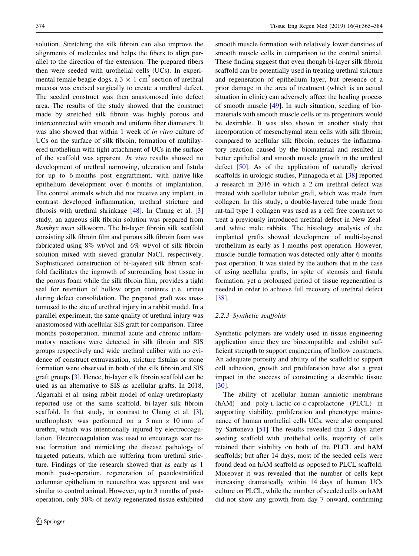solution. Stretching the silk fibroin can also improve the alignments of molecules and helps the fibers to align parallel to the direction of the extension. The prepared fibers then were seeded with urothelial cells (UCs). In experimental female beagle dogs, a  $3 \times 1$  cm<sup>2</sup> section of urethral mucosa was excised surgically to create a urethral defect. The seeded construct was then anastomosed into defect area. The results of the study showed that the construct made by stretched silk fibroin was highly porous and interconnected with smooth and uniform fiber diameters. It was also showed that within 1 week of *in vitro* culture of UCs on the surface of silk fibroin, formation of multilayered urothelium with tight attachment of UCs in the surface of the scaffold was apparent. In vivo results showed no development of urethral narrowing, ulceration and fistula for up to 6 months post engraftment, with native-like epithelium development over 6 months of implantation. The control animals which did not receive any implant, in contrast developed inflammation, urethral stricture and fibrosis with urethral shrinkage  $[48]$  $[48]$  $[48]$ . In Chung et al.  $[3]$  $[3]$ study, an aqueous silk fibroin solution was prepared from Bombyx mori silkworm. The bi-layer fibroin silk scaffold consisting silk fibroin film and porous silk fibroin foam was fabricated using 8% wt/vol and 6% wt/vol of silk fibroin solution mixed with sieved granular NaCl, respectively. Sophisticated construction of bi-layered silk fibroin scaffold facilitates the ingrowth of surrounding host tissue in the porous foam while the silk fibroin film, provides a tight seal for retention of hollow organ contents (i.e. urine) during defect consolidation. The prepared graft was anastomosed to the site of urethral injury in a rabbit model. In a parallel experiment, the same quality of urethral injury was anastomosed with acellular SIS graft for comparison. Three months postoperation, minimal acute and chronic inflammatory reactions were detected in silk fibroin and SIS groups respectively and wide urethral caliber with no evidence of construct extravasation, stricture fistulas or stone formation were observed in both of the silk fibroin and SIS graft groups [\[3](#page-17-0)]. Hence, bi-layer silk fibroin scaffold can be used as an alternative to SIS as acellular grafts. In 2018, Algarrahi et al. using rabbit model of onlay urethroplasty reported use of the same scaffold, bi-layer silk fibroin scaffold. In that study, in contrast to Chung et al. [\[3](#page-17-0)], urethroplasty was performed on a 5 mm  $\times$  10 mm of urethra, which was intentionally injured by electrocoagulation. Electrocoagulation was used to encourage scar tissue formation and mimicking the disease pathology of targeted patients, which are suffering from urethral stricture. Findings of the research showed that as early as 1 month post-operation, regeneration of pseudostratified columnar epithelium in neourethra was apparent and was similar to control animal. However, up to 3 months of postoperation, only 50% of newly regenerated tissue exhibited smooth muscle formation with relatively lower densities of smooth muscle cells in comparison to the control animal. These finding suggest that even though bi-layer silk fibroin scaffold can be potentially used in treating urethral stricture and regeneration of epithelium layer, but presence of a prior damage in the area of treatment (which is an actual situation in clinic) can adversely affect the healing process of smooth muscle [\[49\]](#page-18-0). In such situation, seeding of biomaterials with smooth muscle cells or its progenitors would be desirable. It was also shown in another study that incorporation of mesenchymal stem cells with silk fibroin; compared to acellular silk fibroin, reduces the inflammatory reaction caused by the biomaterial and resulted in better epithelial and smooth muscle growth in the urethral defect [[50\]](#page-18-0). As of the application of naturally derived scaffolds in urologic studies, Pinnagoda et al. [[38\]](#page-18-0) reported a research in 2016 in which a 2 cm urethral defect was treated with acellular tubular graft, which was made from collagen. In this study, a double-layered tube made from rat-tail type 1 collagen was used as a cell free construct to treat a previously introduced urethral defect in New Zealand white male rabbits. The histology analysis of the implanted grafts showed development of multi-layered urothelium as early as 1 months post operation. However, muscle bundle formation was detected only after 6 months post operation. It was stated by the authors that in the case of using acellular grafts, in spite of stenosis and fistula formation, yet a prolonged period of tissue regeneration is needed in order to achieve full recovery of urethral defect [\[38](#page-18-0)].

## 2.2.3 Synthetic scaffolds

Synthetic polymers are widely used in tissue engineering application since they are biocompatible and exhibit sufficient strength to support engineering of hollow constructs. An adequate porosity and ability of the scaffold to support cell adhesion, growth and proliferation have also a great impact in the success of constructing a desirable tissue [\[30](#page-17-0)].

The ability of acellular human amniotic membrane (hAM) and poly-L-lactic-co-e-caprolactone (PLCL) in supporting viability, proliferation and phenotype maintenance of human urothelial cells UCs, were also compared by Sartoneva [\[51](#page-18-0)] The results revealed that 3 days after seeding scaffold with urothelial cells, majority of cells retained their viability on both of the PLCL and hAM scaffolds; but after 14 days, most of the seeded cells were found dead on hAM scaffold as opposed to PLCL scaffold. Moreover it was revealed that the number of cells kept increasing dramatically within 14 days of human UCs culture on PLCL, while the number of seeded cells on hAM did not show any growth from day 7 onward, confirming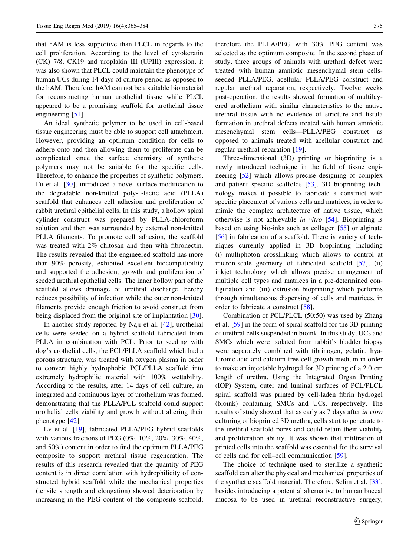that hAM is less supportive than PLCL in regards to the cell proliferation. According to the level of cytokeratin (CK) 7/8, CK19 and uroplakin III (UPIII) expression, it was also shown that PLCL could maintain the phenotype of human UCs during 14 days of culture period as opposed to the hAM. Therefore, hAM can not be a suitable biomaterial for reconstructing human urothelial tissue while PLCL appeared to be a promising scaffold for urothelial tissue engineering [[51\]](#page-18-0).

An ideal synthetic polymer to be used in cell-based tissue engineering must be able to support cell attachment. However, providing an optimum condition for cells to adhere onto and then allowing them to proliferate can be complicated since the surface chemistry of synthetic polymers may not be suitable for the specific cells. Therefore, to enhance the properties of synthetic polymers, Fu et al. [[30\]](#page-17-0), introduced a novel surface-modification to the degradable non-knitted poly-L-lactic acid (PLLA) scaffold that enhances cell adhesion and proliferation of rabbit urethral epithelial cells. In this study, a hollow spiral cylinder construct was prepared by PLLA-chloroform solution and then was surrounded by external non-knitted PLLA filaments. To promote cell adhesion, the scaffold was treated with 2% chitosan and then with fibronectin. The results revealed that the engineered scaffold has more than 90% porosity, exhibited excellent biocompatibility and supported the adhesion, growth and proliferation of seeded urethral epithelial cells. The inner hollow part of the scaffold allows drainage of urethral discharge, hereby reduces possibility of infection while the outer non-knitted filaments provide enough friction to avoid construct from being displaced from the original site of implantation [\[30](#page-17-0)].

In another study reported by Naji et al. [\[42](#page-18-0)], urothelial cells were seeded on a hybrid scaffold fabricated from PLLA in combination with PCL. Prior to seeding with dog's urothelial cells, the PCL/PLLA scaffold which had a porous structure, was treated with oxygen plasma in order to convert highly hydrophobic PCL/PLLA scaffold into extremely hydrophilic material with 100% wettability. According to the results, after 14 days of cell culture, an integrated and continuous layer of urothelium was formed, demonstrating that the PLLA/PCL scaffold could support urothelial cells viability and growth without altering their phenotype [\[42](#page-18-0)].

Lv et al. [[19\]](#page-17-0), fabricated PLLA/PEG hybrid scaffolds with various fractions of PEG (0%, 10%, 20%, 30%, 40%, and 50%) content in order to find the optimum PLLA/PEG composite to support urethral tissue regeneration. The results of this research revealed that the quantity of PEG content is in direct correlation with hydrophilicity of constructed hybrid scaffold while the mechanical properties (tensile strength and elongation) showed deterioration by increasing in the PEG content of the composite scaffold;

therefore the PLLA/PEG with 30% PEG content was selected as the optimum composite. In the second phase of study, three groups of animals with urethral defect were treated with human amniotic mesenchymal stem cellsseeded PLLA/PEG, acellular PLLA/PEG construct and regular urethral reparation, respectively. Twelve weeks post-operation, the results showed formation of multilayered urothelium with similar characteristics to the native urethral tissue with no evidence of stricture and fistula formation in urethral defects treated with human amniotic mesenchymal stem cells—PLLA/PEG construct as opposed to animals treated with acellular construct and regular urethral reparation [[19\]](#page-17-0).

Three-dimensional (3D) printing or bioprinting is a newly introduced technique in the field of tissue engineering [[52\]](#page-18-0) which allows precise designing of complex and patient specific scaffolds [\[53](#page-18-0)]. 3D bioprinting technology makes it possible to fabricate a construct with specific placement of various cells and matrices, in order to mimic the complex architecture of native tissue, which otherwise is not achievable in vitro [\[54](#page-18-0)]. Bioprinting is based on using bio-inks such as collagen [\[55](#page-18-0)] or alginate [\[56](#page-18-0)] in fabrication of a scaffold. There is variety of techniques currently applied in 3D bioprinting including (i) multiphoton crosslinking which allows to control at micron-scale geometry of fabricated scaffold [\[57](#page-18-0)], (ii) inkjet technology which allows precise arrangement of multiple cell types and matrices in a pre-determined configuration and (iii) extrusion bioprinting which performs through simultaneous dispensing of cells and matrices, in order to fabricate a construct [\[58](#page-18-0)].

Combination of PCL/PLCL (50:50) was used by Zhang et al. [\[59](#page-18-0)] in the form of spiral scaffold for the 3D printing of urethral cells suspended in bioink. In this study, UCs and SMCs which were isolated from rabbit's bladder biopsy were separately combined with fibrinogen, gelatin, hyaluronic acid and calcium-free cell growth medium in order to make an injectable hydrogel for 3D printing of a 2.0 cm length of urethra. Using the Integrated Organ Printing (IOP) System, outer and luminal surfaces of PCL/PLCL spiral scaffold was printed by cell-laden fibrin hydrogel (bioink) containing SMCs and UCs, respectively. The results of study showed that as early as 7 days after in vitro culturing of bioprinted 3D urethra, cells start to penetrate to the urethral scaffold pores and could retain their viability and proliferation ability. It was shown that infiltration of printed cells into the scaffold was essential for the survival of cells and for cell–cell communication [[59\]](#page-18-0).

The choice of technique used to sterilize a synthetic scaffold can alter the physical and mechanical properties of the synthetic scaffold material. Therefore, Selim et al. [\[33](#page-17-0)], besides introducing a potential alternative to human buccal mucosa to be used in urethral reconstructive surgery,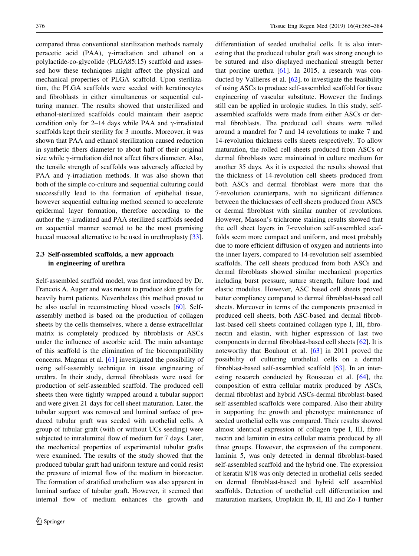compared three conventional sterilization methods namely peracetic acid (PAA),  $\gamma$ -irradiation and ethanol on a polylactide-co-glycolide (PLGA85:15) scaffold and assessed how these techniques might affect the physical and mechanical properties of PLGA scaffold. Upon sterilization, the PLGA scaffolds were seeded with keratinocytes and fibroblasts in either simultaneous or sequential culturing manner. The results showed that unsterilized and ethanol-sterilized scaffolds could maintain their aseptic condition only for 2–14 days while PAA and  $\gamma$ -irradiated scaffolds kept their sterility for 3 months. Moreover, it was shown that PAA and ethanol sterilization caused reduction in synthetic fibers diameter to about half of their original size while  $\gamma$ -irradiation did not affect fibers diameter. Also, the tensile strength of scaffolds was adversely affected by PAA and  $\gamma$ -irradiation methods. It was also shown that both of the simple co-culture and sequential culturing could successfully lead to the formation of epithelial tissue, however sequential culturing method seemed to accelerate epidermal layer formation, therefore according to the author the  $\gamma$ -irradiated and PAA sterilized scaffolds seeded on sequential manner seemed to be the most promising buccal mucosal alternative to be used in urethroplasty [\[33](#page-17-0)].

# 2.3 Self-assembled scaffolds, a new approach in engineering of urethra

Self-assembled scaffold model, was first introduced by Dr. Francois A. Auger and was meant to produce skin grafts for heavily burnt patients. Nevertheless this method proved to be also useful in reconstructing blood vessels [[60\]](#page-18-0). Selfassembly method is based on the production of collagen sheets by the cells themselves, where a dense extracellular matrix is completely produced by fibroblasts or ASCs under the influence of ascorbic acid. The main advantage of this scaffold is the elimination of the biocompatibility concerns. Magnan et al. [[61\]](#page-18-0) investigated the possibility of using self-assembly technique in tissue engineering of urethra. In their study, dermal fibroblasts were used for production of self-assembled scaffold. The produced cell sheets then were tightly wrapped around a tubular support and were given 21 days for cell sheet maturation. Later, the tubular support was removed and luminal surface of produced tubular graft was seeded with urothelial cells. A group of tubular graft (with or without UCs seeding) were subjected to intraluminal flow of medium for 7 days. Later, the mechanical properties of experimental tubular grafts were examined. The results of the study showed that the produced tubular graft had uniform texture and could resist the pressure of internal flow of the medium in bioreactor. The formation of stratified urothelium was also apparent in luminal surface of tubular graft. However, it seemed that internal flow of medium enhances the growth and differentiation of seeded urothelial cells. It is also interesting that the produced tubular graft was strong enough to be sutured and also displayed mechanical strength better that porcine urethra  $[61]$  $[61]$ . In 2015, a research was conducted by Vallieres et al. [[62](#page-18-0)], to investigate the feasibility of using ASCs to produce self-assembled scaffold for tissue engineering of vascular substitute. However the findings still can be applied in urologic studies. In this study, selfassembled scaffolds were made from either ASCs or dermal fibroblasts. The produced cell sheets were rolled around a mandrel for 7 and 14 revolutions to make 7 and 14-revolution thickness cells sheets respectively. To allow maturation, the rolled cell sheets produced from ASCs or dermal fibroblasts were maintained in culture medium for another 35 days. As it is expected the results showed that the thickness of 14-revolution cell sheets produced from both ASCs and dermal fibroblast were more that the 7-revolution counterparts, with no significant difference between the thicknesses of cell sheets produced from ASCs or dermal fibroblast with similar number of revolutions. However, Masson's trichrome staining results showed that the cell sheet layers in 7-revolution self-assembled scaffolds seem more compact and uniform, and most probably due to more efficient diffusion of oxygen and nutrients into the inner layers, compared to 14-revolution self assembled scaffolds. The cell sheets produced from both ASCs and dermal fibroblasts showed similar mechanical properties including burst pressure, suture strength, failure load and elastic modulus. However, ASC based cell sheets proved better compliancy compared to dermal fibroblast-based cell sheets. Moreover in terms of the components presented in produced cell sheets, both ASC-based and dermal fibroblast-based cell sheets contained collagen type I, III, fibronectin and elastin, with higher expression of last two components in dermal fibroblast-based cell sheets [[62\]](#page-18-0). It is noteworthy that Bouhout et al. [[63\]](#page-18-0) in 2011 proved the possibility of culturing urothelial cells on a dermal fibroblast-based self-assembled scaffold [[63\]](#page-18-0). In an interesting research conducted by Rousseau et al. [[64\]](#page-18-0), the composition of extra cellular matrix produced by ASCs, dermal fibroblast and hybrid ASCs-dermal fibroblast-based self-assembled scaffolds were compared. Also their ability in supporting the growth and phenotype maintenance of seeded urothelial cells was compared. Their results showed almost identical expression of collagen type I, III, fibronectin and laminin in extra cellular matrix produced by all three groups. However, the expression of the component, laminin 5, was only detected in dermal fibroblast-based self-assembled scaffold and the hybrid one. The expression of keratin 8/18 was only detected in urothelial cells seeded on dermal fibroblast-based and hybrid self assembled scaffolds. Detection of urothelial cell differentiation and maturation markers, Uroplakin Ib, II, III and Zo-1 further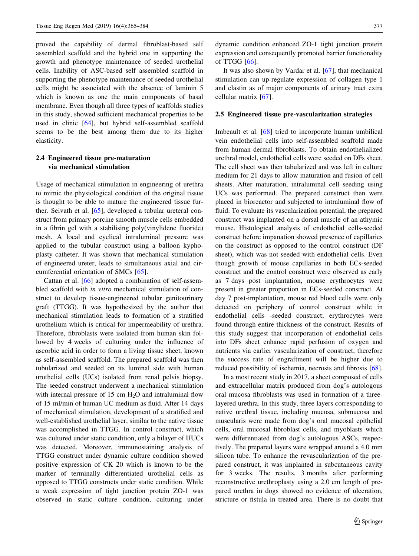proved the capability of dermal fibroblast-based self assembled scaffold and the hybrid one in supporting the growth and phenotype maintenance of seeded urothelial cells. Inability of ASC-based self assembled scaffold in supporting the phenotype maintenance of seeded urothelial cells might be associated with the absence of laminin 5 which is known as one the main components of basal membrane. Even though all three types of scaffolds studies in this study, showed sufficient mechanical properties to be used in clinic [[64\]](#page-18-0), but hybrid self-assembled scaffold seems to be the best among them due to its higher elasticity.

# 2.4 Engineered tissue pre-maturation via mechanical stimulation

Usage of mechanical stimulation in engineering of urethra to mimic the physiological condition of the original tissue is thought to be able to mature the engineered tissue further. Seivath et al. [\[65](#page-18-0)], developed a tubular ureteral construct from primary porcine smooth muscle cells embedded in a fibrin gel with a stabilising poly(vinylidene fluoride) mesh. A local and cyclical intraluminal pressure was applied to the tubular construct using a balloon kyphoplasty catheter. It was shown that mechanical stimulation of engineered ureter, leads to simultaneous axial and circumferential orientation of SMCs [[65\]](#page-18-0).

Cattan et al. [[66\]](#page-18-0) adopted a combination of self-assembled scaffold with in vitro mechanical stimulation of construct to develop tissue-engineered tubular genitourinary graft (TTGG). It was hypothesized by the author that mechanical stimulation leads to formation of a stratified urothelium which is critical for impermeability of urethra. Therefore, fibroblasts were isolated from human skin followed by 4 weeks of culturing under the influence of ascorbic acid in order to form a living tissue sheet, known as self-assembled scaffold. The prepared scaffold was then tubularized and seeded on its luminal side with human urothelial cells (UCs) isolated from renal pelvis biopsy. The seeded construct underwent a mechanical stimulation with internal pressure of  $15 \text{ cm H}_2\text{O}$  and intraluminal flow of 15 ml/min of human UC medium as fluid. After 14 days of mechanical stimulation, development of a stratified and well-established urothelial layer, similar to the native tissue was accomplished in TTGG. In control construct, which was cultured under static condition, only a bilayer of HUCs was detected. Moreover, immunostaining analysis of TTGG construct under dynamic culture condition showed positive expression of CK 20 which is known to be the marker of terminally differentiated urothelial cells as opposed to TTGG constructs under static condition. While a weak expression of tight junction protein ZO-1 was observed in static culture condition, culturing under dynamic condition enhanced ZO-1 tight junction protein expression and consequently promoted barrier functionality of TTGG [\[66](#page-18-0)].

It was also shown by Vardar et al. [[67\]](#page-18-0), that mechanical stimulation can up-regulate expression of collagen type 1 and elastin as of major components of urinary tract extra cellular matrix [\[67](#page-18-0)].

## 2.5 Engineered tissue pre-vascularization strategies

Imbeault et al. [\[68](#page-18-0)] tried to incorporate human umbilical vein endothelial cells into self-assembled scaffold made from human dermal fibroblasts. To obtain endothelialized urethral model, endothelial cells were seeded on DFs sheet. The cell sheet was then tabularized and was left in culture medium for 21 days to allow maturation and fusion of cell sheets. After maturation, intraluminal cell seeding using UCs was performed. The prepared construct then were placed in bioreactor and subjected to intraluminal flow of fluid. To evaluate its vascularization potential, the prepared construct was implanted on a dorsal muscle of an athymic mouse. Histological analysis of endothelial cells-seeded construct before impanation showed presence of capillaries on the construct as opposed to the control construct (DF sheet), which was not seeded with endothelial cells. Even though growth of mouse capillaries in both ECs-seeded construct and the control construct were observed as early as 7 days post implantation, mouse erythrocytes were present in greater proportion in ECs-seeded construct. At day 7 post-implantation, mouse red blood cells were only detected on periphery of control construct while in endothelial cells -seeded construct; erythrocytes were found through entire thickness of the construct. Results of this study suggest that incorporation of endothelial cells into DFs sheet enhance rapid perfusion of oxygen and nutrients via earlier vascularization of construct, therefore the success rate of engraftment will be higher due to reduced possibility of ischemia, necrosis and fibrosis [\[68](#page-18-0)].

In a most recent study in 2017, a sheet composed of cells and extracellular matrix produced from dog's autologous oral mucosa fibroblasts was used in formation of a threelayered urethra. In this study, three layers corresponding to native urethral tissue, including mucosa, submucosa and muscularis were made from dog's oral mucosal epithelial cells, oral mucosal fibroblast cells, and myoblasts which were differentiated from dog's autologous ASCs, respectively. The prepared layers were wrapped around a 4.0 mm silicon tube. To enhance the revascularization of the prepared construct, it was implanted in subcutaneous cavity for 3 weeks. The results, 3 months after performing reconstructive urethroplasty using a 2.0 cm length of prepared urethra in dogs showed no evidence of ulceration, stricture or fistula in treated area. There is no doubt that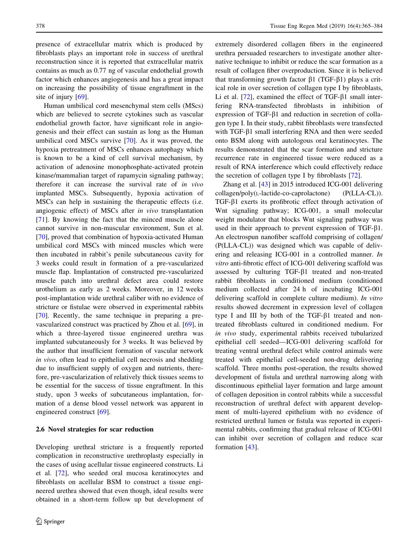presence of extracellular matrix which is produced by fibroblasts plays an important role in success of urethral reconstruction since it is reported that extracellular matrix contains as much as 0.77 ng of vascular endothelial growth factor which enhances angiogenesis and has a great impact on increasing the possibility of tissue engraftment in the site of injury [\[69](#page-18-0)].

Human umbilical cord mesenchymal stem cells (MScs) which are believed to secrete cytokines such as vascular endothelial growth factor, have significant role in angiogenesis and their effect can sustain as long as the Human umbilical cord MSCs survive [[70\]](#page-18-0). As it was proved, the hypoxia pretreatment of MSCs enhances autophagy which is known to be a kind of cell survival mechanism, by activation of adenosine monophosphate-activated protein kinase/mammalian target of rapamycin signaling pathway; therefore it can increase the survival rate of in vivo implanted MSCs. Subsequently, hypoxia activation of MSCs can help in sustaining the therapeutic effects (i.e. angiogenic effect) of MSCs after in vivo transplantation [\[71](#page-18-0)]. By knowing the fact that the minced muscle alone cannot survive in non-muscular environment, Sun et al. [\[70](#page-18-0)], proved that combination of hypoxia-activated Human umbilical cord MSCs with minced muscles which were then incubated in rabbit's penile subcutaneous cavity for 3 weeks could result in formation of a pre-vascularized muscle flap. Implantation of constructed pre-vascularized muscle patch into urethral defect area could restore urothelium as early as 2 weeks. Moreover, in 12 weeks post-implantation wide urethral caliber with no evidence of stricture or fistulae were observed in experimental rabbits [\[70](#page-18-0)]. Recently, the same technique in preparing a prevascularized construct was practiced by Zhou et al. [[69\]](#page-18-0), in which a three-layered tissue engineered urethra was implanted subcutaneously for 3 weeks. It was believed by the author that insufficient formation of vascular network in vivo, often lead to epithelial cell necrosis and shedding due to insufficient supply of oxygen and nutrients, therefore, pre-vascularization of relatively thick tissues seems to be essential for the success of tissue engraftment. In this study, upon 3 weeks of subcutaneous implantation, formation of a dense blood vessel network was apparent in engineered construct [[69\]](#page-18-0).

#### 2.6 Novel strategies for scar reduction

Developing urethral stricture is a frequently reported complication in reconstructive urethroplasty especially in the cases of using acellular tissue engineered constructs. Li et al. [\[72](#page-19-0)], who seeded oral mucosa keratinocytes and fibroblasts on acellular BSM to construct a tissue engineered urethra showed that even though, ideal results were obtained in a short-term follow up but development of extremely disordered collagen fibers in the engineered urethra persuaded researchers to investigate another alternative technique to inhibit or reduce the scar formation as a result of collagen fiber overproduction. Since it is believed that transforming growth factor  $\beta$ 1 (TGF- $\beta$ 1) plays a critical role in over secretion of collagen type I by fibroblasts, Li et al.  $[72]$  $[72]$ , examined the effect of TGF- $\beta$ 1 small interfering RNA-transfected fibroblasts in inhibition of expression of TGF- $\beta$ 1 and reduction in secretion of collagen type I. In their study, rabbit fibroblasts were transfected with TGF- $\beta$ 1 small interfering RNA and then were seeded onto BSM along with autologous oral keratinocytes. The results demonstrated that the scar formation and stricture recurrence rate in engineered tissue were reduced as a result of RNA interference which could effectively reduce the secretion of collagen type I by fibroblasts [[72\]](#page-19-0).

Zhang et al. [\[43](#page-18-0)] in 2015 introduced ICG-001 delivering collagen/poly(L-lactide-co-caprolactone) (P(LLA-CL)). TGF-b1 exerts its profibrotic effect through activation of Wnt signaling pathway; ICG-001, a small molecular weight modulator that blocks Wnt signaling pathway was used in their approach to prevent expression of  $TGF-\beta1$ . An electrospun nanofiber scaffold comprising of collagen/ (P(LLA-CL)) was designed which was capable of delivering and releasing ICG-001 in a controlled manner. In vitro anti-fibrotic effect of ICG-001 delivering scaffold was assessed by culturing  $TGF- $\beta$ 1 treated and non-treated$ rabbit fibroblasts in conditioned medium (conditioned medium collected after 24 h of incubating ICG-001 delivering scaffold in complete culture medium). In vitro results showed decrement in expression level of collagen type I and III by both of the  $TGF- $\beta$ 1 treated and non$ treated fibroblasts cultured in conditioned medium. For in vivo study, experimental rabbits received tubularized epithelial cell seeded—ICG-001 delivering scaffold for treating ventral urethral defect while control animals were treated with epithelial cell-seeded non-drug delivering scaffold. Three months post-operation, the results showed development of fistula and urethral narrowing along with discontinuous epithelial layer formation and large amount of collagen deposition in control rabbits while a successful reconstruction of urethral defect with apparent development of multi-layered epithelium with no evidence of restricted urethral lumen or fistula was reported in experimental rabbits, confirming that gradual release of ICG-001 can inhibit over secretion of collagen and reduce scar formation [\[43](#page-18-0)].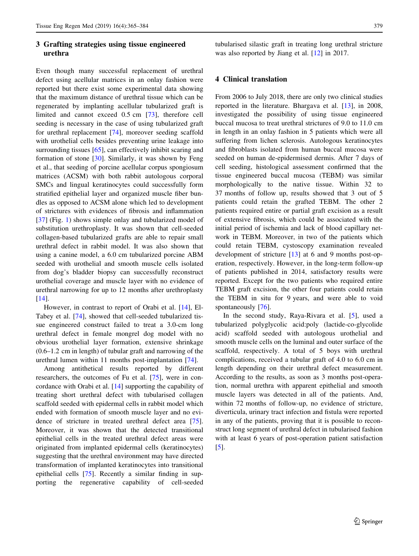# 3 Grafting strategies using tissue engineered urethra

Even though many successful replacement of urethral defect using acellular matrices in an onlay fashion were reported but there exist some experimental data showing that the maximum distance of urethral tissue which can be regenerated by implanting acellular tubularized graft is limited and cannot exceed 0.5 cm [\[73](#page-19-0)], therefore cell seeding is necessary in the case of using tubularized graft for urethral replacement [\[74](#page-19-0)], moreover seeding scaffold with urothelial cells besides preventing urine leakage into surrounding tissues [\[65](#page-18-0)], can effectively inhibit scaring and formation of stone  $[30]$  $[30]$ . Similarly, it was shown by Feng et al., that seeding of porcine acellular corpus spongiosum matrices (ACSM) with both rabbit autologous corporal SMCs and lingual keratinocytes could successfully form stratified epithelial layer and organized muscle fiber bundles as opposed to ACSM alone which led to development of strictures with evidences of fibrosis and inflammation [\[37](#page-17-0)] (Fig. [1](#page-15-0)) shows simple onlay and tubularized model of substitution urethroplasty. It was shown that cell-seeded collagen-based tubularized grafts are able to repair small urethral defect in rabbit model. It was also shown that using a canine model, a 6.0 cm tubularized porcine ABM seeded with urothelial and smooth muscle cells isolated from dog's bladder biopsy can successfully reconstruct urothelial coverage and muscle layer with no evidence of urethral narrowing for up to 12 months after urethroplasty [\[14](#page-17-0)].

However, in contrast to report of Orabi et al. [\[14](#page-17-0)], El-Tabey et al. [\[74](#page-19-0)], showed that cell-seeded tubularized tissue engineered construct failed to treat a 3.0-cm long urethral defect in female mongrel dog model with no obvious urothelial layer formation, extensive shrinkage (0.6–1.2 cm in length) of tubular graft and narrowing of the urethral lumen within 11 months post-implantation [\[74](#page-19-0)].

Among antithetical results reported by different researchers, the outcomes of Fu et al. [\[75](#page-19-0)], were in concordance with Orabi et al. [[14\]](#page-17-0) supporting the capability of treating short urethral defect with tubularised collagen scaffold seeded with epidermal cells in rabbit model which ended with formation of smooth muscle layer and no evidence of stricture in treated urethral defect area [\[75](#page-19-0)]. Moreover, it was shown that the detected transitional epithelial cells in the treated urethral defect areas were originated from implanted epidermal cells (keratinocytes) suggesting that the urethral environment may have directed transformation of implanted keratinocytes into transitional epithelial cells [[75\]](#page-19-0). Recently a similar finding in supporting the regenerative capability of cell-seeded tubularised silastic graft in treating long urethral stricture was also reported by Jiang et al. [[12\]](#page-17-0) in 2017.

## 4 Clinical translation

From 2006 to July 2018, there are only two clinical studies reported in the literature. Bhargava et al. [\[13](#page-17-0)], in 2008, investigated the possibility of using tissue engineered buccal mucosa to treat urethral strictures of 9.0 to 11.0 cm in length in an onlay fashion in 5 patients which were all suffering from lichen sclerosis. Autologous keratinocytes and fibroblasts isolated from human buccal mucosa were seeded on human de-epidermised dermis. After 7 days of cell seeding, histological assessment confirmed that the tissue engineered buccal mucosa (TEBM) was similar morphologically to the native tissue. Within 32 to 37 months of follow up, results showed that 3 out of 5 patients could retain the grafted TEBM. The other 2 patients required entire or partial graft excision as a result of extensive fibrosis, which could be associated with the initial period of ischemia and lack of blood capillary network in TEBM. Moreover, in two of the patients which could retain TEBM, cystoscopy examination revealed development of stricture [[13\]](#page-17-0) at 6 and 9 months post-operation, respectively. However, in the long-term follow-up of patients published in 2014, satisfactory results were reported. Except for the two patients who required entire TEBM graft excision, the other four patients could retain the TEBM in situ for 9 years, and were able to void spontaneously [[76\]](#page-19-0).

In the second study, Raya-Rivara et al. [[5\]](#page-17-0), used a tubularized polyglycolic acid:poly (lactide-co-glycolide acid) scaffold seeded with autologous urothelial and smooth muscle cells on the luminal and outer surface of the scaffold, respectively. A total of 5 boys with urethral complications, received a tubular graft of 4.0 to 6.0 cm in length depending on their urethral defect measurement. According to the results, as soon as 3 months post-operation, normal urethra with apparent epithelial and smooth muscle layers was detected in all of the patients. And, within 72 months of follow-up, no evidence of stricture, diverticula, urinary tract infection and fistula were reported in any of the patients, proving that it is possible to reconstruct long segment of urethral defect in tubularised fashion with at least 6 years of post-operation patient satisfaction [\[5](#page-17-0)].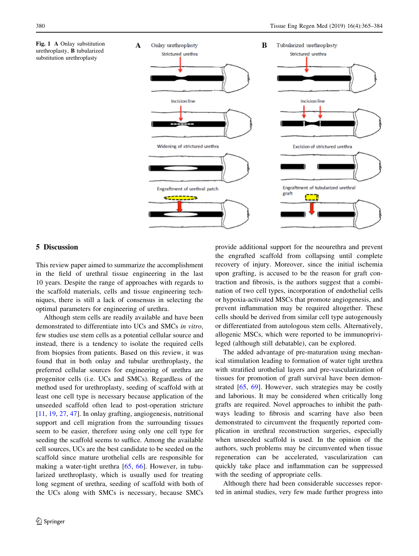<span id="page-15-0"></span>



## 5 Discussion

This review paper aimed to summarize the accomplishment in the field of urethral tissue engineering in the last 10 years. Despite the range of approaches with regards to the scaffold materials, cells and tissue engineering techniques, there is still a lack of consensus in selecting the optimal parameters for engineering of urethra.

Although stem cells are readily available and have been demonstrated to differentiate into UCs and SMCs in vitro, few studies use stem cells as a potential cellular source and instead, there is a tendency to isolate the required cells from biopsies from patients. Based on this review, it was found that in both onlay and tubular urethroplasty, the preferred cellular sources for engineering of urethra are progenitor cells (i.e. UCs and SMCs). Regardless of the method used for urethroplasty, seeding of scaffold with at least one cell type is necessary because application of the unseeded scaffold often lead to post-operation stricture [\[11](#page-17-0), [19](#page-17-0), [27,](#page-17-0) [47\]](#page-18-0). In onlay grafting, angiogenesis, nutritional support and cell migration from the surrounding tissues seem to be easier, therefore using only one cell type for seeding the scaffold seems to suffice. Among the available cell sources, UCs are the best candidate to be seeded on the scaffold since mature urothelial cells are responsible for making a water-tight urethra [\[65](#page-18-0), [66](#page-18-0)]. However, in tubularized urethroplasty, which is usually used for treating long segment of urethra, seeding of scaffold with both of the UCs along with SMCs is necessary, because SMCs provide additional support for the neourethra and prevent the engrafted scaffold from collapsing until complete recovery of injury. Moreover, since the initial ischemia upon grafting, is accused to be the reason for graft contraction and fibrosis, is the authors suggest that a combination of two cell types, incorporation of endothelial cells or hypoxia-activated MSCs that promote angiogenesis, and prevent inflammation may be required altogether. These cells should be derived from similar cell type autogenously or differentiated from autologous stem cells. Alternatively, allogenic MSCs, which were reported to be immunoprivileged (although still debatable), can be explored.

The added advantage of pre-maturation using mechanical stimulation leading to formation of water tight urethra with stratified urothelial layers and pre-vascularization of tissues for promotion of graft survival have been demonstrated [\[65](#page-18-0), [69](#page-18-0)]. However, such strategies may be costly and laborious. It may be considered when critically long grafts are required. Novel approaches to inhibit the pathways leading to fibrosis and scarring have also been demonstrated to circumvent the frequently reported complication in urethral reconstruction surgeries, especially when unseeded scaffold is used. In the opinion of the authors, such problems may be circumvented when tissue regeneration can be accelerated, vascularization can quickly take place and inflammation can be suppressed with the seeding of appropriate cells.

Although there had been considerable successes reported in animal studies, very few made further progress into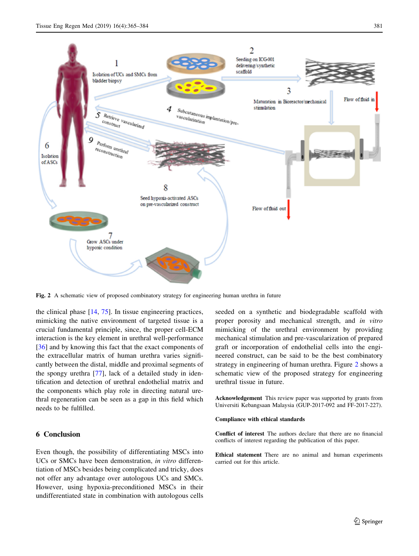

Fig. 2 A schematic view of proposed combinatory strategy for engineering human urethra in future

the clinical phase [[14,](#page-17-0) [75](#page-19-0)]. In tissue engineering practices, mimicking the native environment of targeted tissue is a crucial fundamental principle, since, the proper cell-ECM interaction is the key element in urethral well-performance [\[36](#page-17-0)] and by knowing this fact that the exact components of the extracellular matrix of human urethra varies significantly between the distal, middle and proximal segments of the spongy urethra [\[77](#page-19-0)], lack of a detailed study in identification and detection of urethral endothelial matrix and the components which play role in directing natural urethral regeneration can be seen as a gap in this field which needs to be fulfilled.

# 6 Conclusion

Even though, the possibility of differentiating MSCs into UCs or SMCs have been demonstration, in vitro differentiation of MSCs besides being complicated and tricky, does not offer any advantage over autologous UCs and SMCs. However, using hypoxia-preconditioned MSCs in their undifferentiated state in combination with autologous cells seeded on a synthetic and biodegradable scaffold with proper porosity and mechanical strength, and in vitro mimicking of the urethral environment by providing mechanical stimulation and pre-vascularization of prepared graft or incorporation of endothelial cells into the engineered construct, can be said to be the best combinatory strategy in engineering of human urethra. Figure 2 shows a schematic view of the proposed strategy for engineering urethral tissue in future.

Acknowledgement This review paper was supported by grants from Universiti Kebangsaan Malaysia (GUP-2017-092 and FF-2017-227).

#### Compliance with ethical standards

Conflict of interest The authors declare that there are no financial conflicts of interest regarding the publication of this paper.

Ethical statement There are no animal and human experiments carried out for this article.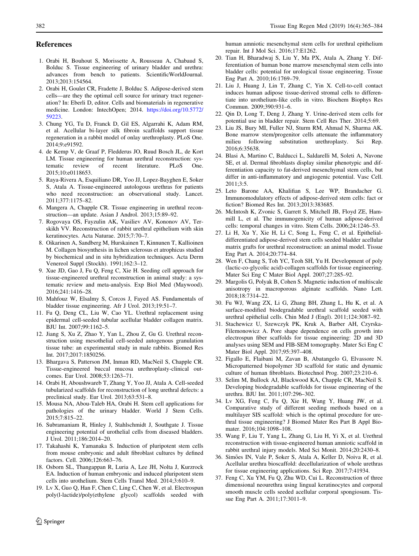#### <span id="page-17-0"></span>References

- 1. Orabi H, Bouhout S, Morissette A, Rousseau A, Chabaud S, Bolduc S. Tissue engineering of urinary bladder and urethra: advances from bench to patients. ScientificWorldJournal. 2013;2013:154564.
- 2. Orabi H, Goulet CR, Fradette J, Bolduc S. Adipose-derived stem cells—are they the optimal cell source for urinary tract regeneration? In: Eberli D, editor. Cells and biomaterials in regenerative medicine. London: IntechOpen; 2014. [https://doi.org/10.5772/](https://doi.org/10.5772/59223) [59223.](https://doi.org/10.5772/59223)
- 3. Chung YG, Tu D, Franck D, Gil ES, Algarrahi K, Adam RM, et al. Acellular bi-layer silk fibroin scaffolds support tissue regeneration in a rabbit model of onlay urethroplasty. PLoS One. 2014;9:e91592.
- 4. de Kemp V, de Graaf P, Fledderus JO, Ruud Bosch JL, de Kort LM. Tissue engineering for human urethral reconstruction: systematic review of recent literature. PLoS One. 2015;10:e0118653.
- 5. Raya-Rivera A, Esquiliano DR, Yoo JJ, Lopez-Bayghen E, Soker S, Atala A. Tissue-engineered autologous urethras for patients who need reconstruction: an observational study. Lancet. 2011;377:1175–82.
- 6. Mangera A, Chapple CR. Tissue engineering in urethral reconstruction—an update. Asian J Androl. 2013;15:89–92.
- 7. Rogovaya OS, Fayzulin AK, Vasiliev AV, Kononov AV, Terskikh VV. Reconstruction of rabbit urethral epithelium with skin keratinocytes. Acta Naturae. 2015;7:70–7.
- 8. Oikarinen A, Sandberg M, Hurskainen T, Kinnunen T, Kallioinen M. Collagen biosynthesis in lichen sclerosus et atrophicus studied by biochemical and in situ hybridization techniques. Acta Derm Venereol Suppl (Stockh). 1991;162:3–12.
- 9. Xue JD, Gao J, Fu Q, Feng C, Xie H. Seeding cell approach for tissue-engineered urethral reconstruction in animal study: a systematic review and meta-analysis. Exp Biol Med (Maywood). 2016;241:1416–28.
- 10. Mahfouz W, Elsalmy S, Corcos J, Fayed AS. Fundamentals of bladder tissue engineering. Afr J Urol. 2013;19:51–7.
- 11. Fu Q, Deng CL, Liu W, Cao YL. Urethral replacement using epidermal cell-seeded tubular acellular bladder collagen matrix. BJU Int. 2007;99:1162–5.
- 12. Jiang S, Xu Z, Zhao Y, Yan L, Zhou Z, Gu G. Urethral reconstruction using mesothelial cell-seeded autogenous granulation tissue tube: an experimental study in male rabbits. Biomed Res Int. 2017;2017:1850256.
- 13. Bhargava S, Patterson JM, Inman RD, MacNeil S, Chapple CR. Tissue-engineered buccal mucosa urethroplasty-clinical outcomes. Eur Urol. 2008;53:1263–71.
- 14. Orabi H, Aboushwareb T, Zhang Y, Yoo JJ, Atala A. Cell-seeded tubularized scaffolds for reconstruction of long urethral defects: a preclinical study. Eur Urol. 2013;63:531–8.
- 15. Mousa NA, Abou-Taleb HA, Orabi H. Stem cell applications for pathologies of the urinary bladder. World J Stem Cells. 2015;7:815–22.
- 16. Subramaniam R, Hinley J, Stahlschmidt J, Southgate J. Tissue engineering potential of urothelial cells from diseased bladders. J Urol. 2011;186:2014–20.
- 17. Takahashi K, Yamanaka S. Induction of pluripotent stem cells from mouse embryonic and adult fibroblast cultures by defined factors. Cell. 2006;126:663–76.
- 18. Osborn SL, Thangappan R, Luria A, Lee JH, Nolta J, Kurzrock EA. Induction of human embryonic and induced pluripotent stem cells into urothelium. Stem Cells Transl Med. 2014;3:610–9.
- 19. Lv X, Guo Q, Han F, Chen C, Ling C, Chen W, et al. Electrospun poly(l-lactide)/poly(ethylene glycol) scaffolds seeded with

human amniotic mesenchymal stem cells for urethral epithelium repair. Int J Mol Sci. 2016;17:E1262.

- 20. Tian H, Bharadwaj S, Liu Y, Ma PX, Atala A, Zhang Y. Differentiation of human bone marrow mesenchymal stem cells into bladder cells: potential for urological tissue engineering. Tissue Eng Part A. 2010;16:1769–79.
- 21. Liu J, Huang J, Lin T, Zhang C, Yin X. Cell-to-cell contact induces human adipose tissue-derived stromal cells to differentiate into urothelium-like cells in vitro. Biochem Biophys Res Commun. 2009;390:931–6.
- 22. Qin D, Long T, Deng J, Zhang Y. Urine-derived stem cells for potential use in bladder repair. Stem Cell Res Ther. 2014;5:69.
- 23. Liu JS, Bury MI, Fuller NJ, Sturm RM, Ahmad N, Sharma AK. Bone marrow stem/progenitor cells attenuate the inflammatory milieu following substitution urethroplasty. Sci Rep. 2016;6:35638.
- 24. Blasi A, Martino C, Balducci L, Saldarelli M, Soleti A, Navone SE, et al. Dermal fibroblasts display similar phenotypic and differentiation capacity to fat-derived mesenchymal stem cells, but differ in anti-inflammatory and angiogenic potential. Vasc Cell.  $2011:3:5$
- 25. Leto Barone AA, Khalifian S, Lee WP, Brandacher G. Immunomodulatory effects of adipose-derived stem cells: fact or fiction? Biomed Res Int. 2013;2013:383685.
- 26. McIntosh K, Zvonic S, Garrett S, Mitchell JB, Floyd ZE, Hammill L, et al. The immunogenicity of human adipose-derived cells: temporal changes in vitro. Stem Cells. 2006;24:1246–53.
- 27. Li H, Xu Y, Xie H, Li C, Song L, Feng C, et al. Epithelialdifferentiated adipose-derived stem cells seeded bladder acellular matrix grafts for urethral reconstruction: an animal model. Tissue Eng Part A. 2014;20:774–84.
- 28. Wen F, Chang S, Toh YC, Teoh SH, Yu H. Development of poly (lactic-co-glycolic acid)-collagen scaffolds for tissue engineering. Mater Sci Eng C Mater Biol Appl. 2007;27:285–92.
- 29. Margolis G, Polyak B, Cohen S. Magnetic induction of multiscale anisotropy in macroporous alginate scaffolds. Nano Lett. 2018;18:7314–22.
- 30. Fu WJ, Wang ZX, Li G, Zhang BH, Zhang L, Hu K, et al. A surface-modified biodegradable urethral scaffold seeded with urethral epithelial cells. Chin Med J (Engl). 2011;124:3087–92.
- 31. Stachewicz U, Szewczyk PK, Kruk A, Barber AH, Czyrska-Filemonowicz A. Pore shape dependence on cells growth into electrospun fiber scaffolds for tissue engineering: 2D and 3D analyses using SEM and FIB-SEM tomography. Mater Sci Eng C Mater Biol Appl. 2017;95:397–408.
- 32. Figallo E, Flaibani M, Zavan B, Abatangelo G, Elvassore N. Micropatterned biopolymer 3D scaffold for static and dynamic culture of human fibroblasts. Biotechnol Prog. 2007;23:210–6.
- 33. Selim M, Bullock AJ, Blackwood KA, Chapple CR, MacNeil S. Developing biodegradable scaffolds for tissue engineering of the urethra. BJU Int. 2011;107:296–302.
- 34. Lv XG, Feng C, Fu Q, Xie H, Wang Y, Huang JW, et al. Comparative study of different seeding methods based on a multilayer SIS scaffold: which is the optimal procedure for urethral tissue engineering? J Biomed Mater Res Part B Appl Biomater. 2016;104:1098–108.
- 35. Wang F, Liu T, Yang L, Zhang G, Liu H, Yi X, et al. Urethral reconstruction with tissue-engineered human amniotic scaffold in rabbit urethral injury models. Med Sci Monit. 2014;20:2430–8.
- 36. Simões IN, Vale P, Soker S, Atala A, Keller D, Noiva R, et al. Acellular urethra bioscaffold: decellularization of whole urethras for tissue engineering applications. Sci Rep. 2017;7:41934.
- 37. Feng C, Xu YM, Fu Q, Zhu WD, Cui L. Reconstruction of three dimensional neourethra using lingual keratinocytes and corporal smooth muscle cells seeded acellular corporal spongiosum. Tissue Eng Part A. 2011;17:3011–9.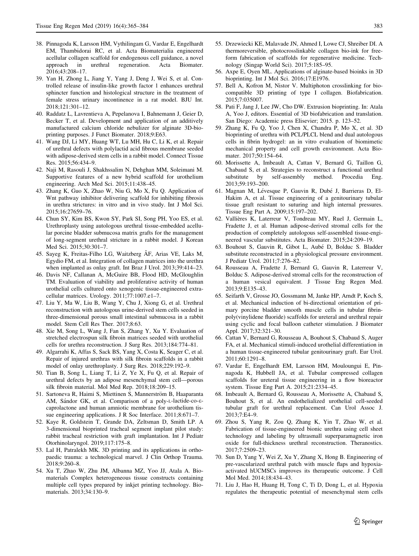- <span id="page-18-0"></span>38. Pinnagoda K, Larsson HM, Vythilingam G, Vardar E, Engelhardt EM, Thambidorai RC, et al. Acta Biomaterialia engineered acellular collagen scaffold for endogenous cell guidance, a novel approach in urethral regeneration. Acta Biomater. 2016;43:208–17.
- 39. Yan H, Zhong L, Jiang Y, Yang J, Deng J, Wei S, et al. Controlled release of insulin-like growth factor 1 enhances urethral sphincter function and histological structure in the treatment of female stress urinary incontinence in a rat model. BJU Int. 2018;121:301–12.
- 40. Raddatz L, Lavrentieva A, Pepelanova I, Bahnemann J, Geier D, Becker T, et al. Development and application of an additively manufactured calcium chloride nebulizer for alginate 3D-bioprinting purposes. J Funct Biomater. 2018;9:E63.
- 41. Wang DJ, Li MY, Huang WT, Lu MH, Hu C, Li K, et al. Repair of urethral defects with polylactid acid fibrous membrane seeded with adipose-derived stem cells in a rabbit model. Connect Tissue Res. 2015;56:434–9.
- 42. Naji M, Rasouli J, Shakhssalim N, Dehghan MM, Soleimani M. Supportive features of a new hybrid scaffold for urothelium engineering. Arch Med Sci. 2015;11:438–45.
- 43. Zhang K, Guo X, Zhao W, Niu G, Mo X, Fu Q. Application of Wnt pathway inhibitor delivering scaffold for inhibiting fibrosis in urethra strictures: in vitro and in vivo study. Int J Mol Sci. 2015;16:27659–76.
- 44. Chun SY, Kim BS, Kwon SY, Park SI, Song PH, Yoo ES, et al. Urethroplasty using autologous urethral tissue-embedded acellular porcine bladder submucosa matrix grafts for the management of long-segment urethral stricture in a rabbit model. J Korean Med Sci. 2015;30:301–7.
- 45. Sayeg K, Freitas-Filho LG, Waitzberg ÂF, Arias VE, Laks M, Egydio FM, et al. Integration of collagen matrices into the urethra when implanted as onlay graft. Int Braz J Urol. 2013;39:414–23.
- 46. Davis NF, Callanan A, McGuire BB, Flood HD, McGloughlin TM. Evaluation of viability and proliferative activity of human urothelial cells cultured onto xenogenic tissue-engineered extracellular matrices. Urology. 2011;77:1007.e1–7.
- 47. Liu Y, Ma W, Liu B, Wang Y, Chu J, Xiong G, et al. Urethral reconstruction with autologous urine-derived stem cells seeded in three-dimensional porous small intestinal submucosa in a rabbit model. Stem Cell Res Ther. 2017;8:63.
- 48. Xie M, Song L, Wang J, Fan S, Zhang Y, Xu Y. Evaluation of stretched electrospun silk fibroin matrices seeded with urothelial cells for urethra reconstruction. J Surg Res. 2013;184:774–81.
- 49. Algarrahi K, Affas S, Sack BS, Yang X, Costa K, Seager C, et al. Repair of injured urethras with silk fibroin scaffolds in a rabbit model of onlay urethroplasty. J Surg Res. 2018;229:192–9.
- 50. Tian B, Song L, Liang T, Li Z, Ye X, Fu Q, et al. Repair of urethral defects by an adipose mesenchymal stem cell—porous silk fibroin material. Mol Med Rep. 2018;18:209–15.
- 51. Sartoneva R, Haimi S, Miettinen S, Mannerström B, Haaparanta AM, Sándor GK, et al. Comparison of a poly-L-lactide-co-εcaprolactone and human amniotic membrane for urothelium tissue engineering applications. J R Soc Interface. 2011;8:671–7.
- 52. Kaye R, Goldstein T, Grande DA, Zeltsman D, Smith LP. A 3-dimensional bioprinted tracheal segment implant pilot study: rabbit tracheal restriction with graft implantation. Int J Pediatr Otorhinolaryngol. 2019;117:175–8.
- 53. Lal H, Patralekh MK. 3D printing and its applications in orthopaedic trauma: a technological marvel. J Clin Orthop Trauma. 2018;9:260–8.
- 54. Xu T, Zhao W, Zhu JM, Albanna MZ, Yoo JJ, Atala A. Biomaterials Complex heterogeneous tissue constructs containing multiple cell types prepared by inkjet printing technology. Biomaterials. 2013;34:130–9.
- 55. Drzewiecki KE, Malavade JN, Ahmed I, Lowe CJ, Shreiber DI. A thermoreversible, photocrosslinkable collagen bio-ink for freeform fabrication of scaffolds for regenerative medicine. Technology (Singap World Sci). 2017;5:185–95.
- 56. Axpe E, Oyen ML. Applications of alginate-based bioinks in 3D bioprinting. Int J Mol Sci. 2016;17:E1976.
- 57. Bell A, Kofron M, Nistor V. Multiphoton crosslinking for biocompatible 3D printing of type I collagen. Biofabrication. 2015;7:035007.
- 58. Pati F, Jang J, Lee JW, Cho DW. Extrusion bioprinting. In: Atala A, Yoo J, editors. Essential of 3D biofabrication and translation. San Diego: Academic press Elisevier; 2015. p. 123–52.
- 59. Zhang K, Fu Q, Yoo J, Chen X, Chandra P, Mo X, et al. 3D bioprinting of urethra with PCL/PLCL blend and dual autologous cells in fibrin hydrogel: an in vitro evaluation of biomimetic mechanical property and cell growth environment. Acta Biomater. 2017;50:154–64.
- 60. Morissette A, Imbeault A, Cattan V, Bernard G, Taillon G, Chabaud S, et al. Strategies to reconstruct a functional urethral substitute by self-assembly method. Procedia Eng. 2013;59:193–200.
- 61. Magnan M, Lévesque P, Gauvin R, Dubé J, Barrieras D, El-Hakim A, et al. Tissue engineering of a genitourinary tubular tissue graft resistant to suturing and high internal pressures. Tissue Eng Part A. 2009;15:197–202.
- 62. Vallières K, Laterreur V, Tondreau MY, Ruel J, Germain L, Fradette J, et al. Human adipose-derived stromal cells for the production of completely autologous self-assembled tissue-engineered vascular substitutes. Acta Biomater. 2015;24:209–19.
- 63. Bouhout S, Gauvin R, Gibot L, Aube´ D, Bolduc S. Bladder substitute reconstructed in a physiological pressure environment. J Pediatr Urol. 2011;7:276–82.
- 64. Rousseau A, Fradette J, Bernard G, Gauvin R, Laterreur V, Bolduc S. Adipose-derived stromal cells for the reconstruction of a human vesical equivalent. J Tissue Eng Regen Med. 2013;9:E135–43.
- 65. Seifarth V, Grosse JO, Gossmann M, Janke HP, Arndt P, Koch S, et al. Mechanical induction of bi-directional orientation of primary porcine bladder smooth muscle cells in tubular fibrinpoly(vinylidene fluoride) scaffolds for ureteral and urethral repair using cyclic and focal balloon catheter stimulation. J Biomater Appl. 2017;32:321–30.
- 66. Cattan V, Bernard G, Rousseau A, Bouhout S, Chabaud S, Auger FA, et al. Mechanical stimuli-induced urothelial differentiation in a human tissue-engineered tubular genitourinary graft. Eur Urol. 2011;60:1291–8.
- 67. Vardar E, Engelhardt EM, Larsson HM, Mouloungui E, Pinnagoda K, Hubbell JA, et al. Tubular compressed collagen scaffolds for ureteral tissue engineering in a flow bioreactor system. Tissue Eng Part A. 2015;21:2334–45.
- 68. Imbeault A, Bernard G, Rousseau A, Morissette A, Chabaud S, Bouhout S, et al. An endothelialized urothelial cell-seeded tubular graft for urethral replacement. Can Urol Assoc J. 2013;7:E4–9.
- 69. Zhou S, Yang R, Zou Q, Zhang K, Yin T, Zhao W, et al. Fabrication of tissue-engineered bionic urethra using cell sheet technology and labeling by ultrasmall superparamagnetic iron oxide for full-thickness urethral reconstruction. Theranostics. 2017;7:2509–23.
- 70. Sun D, Yang Y, Wei Z, Xu Y, Zhang X, Hong B. Engineering of pre-vascularized urethral patch with muscle flaps and hypoxiaactivated hUCMSCs improves its therapeutic outcome. J Cell Mol Med. 2014;18:434–43.
- 71. Liu J, Hao H, Huang H, Tong C, Ti D, Dong L, et al. Hypoxia regulates the therapeutic potential of mesenchymal stem cells